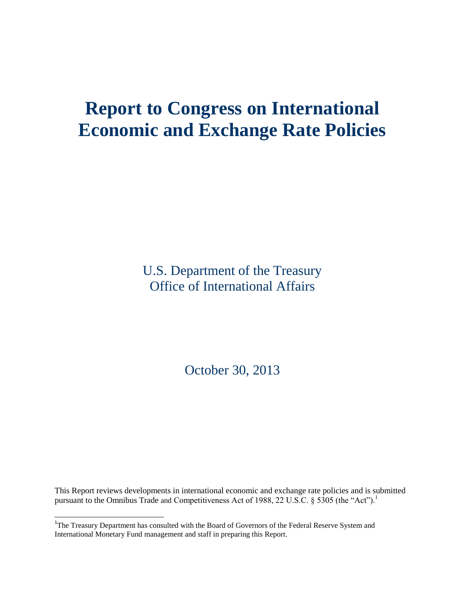# **Report to Congress on International Economic and Exchange Rate Policies**

U.S. Department of the Treasury Office of International Affairs

October 30, 2013

This Report reviews developments in international economic and exchange rate policies and is submitted pursuant to the Omnibus Trade and Competitiveness Act of 1988, 22 U.S.C.  $\S$  5305 (the "Act").<sup>1</sup>

l

<sup>&</sup>lt;sup>1</sup>The Treasury Department has consulted with the Board of Governors of the Federal Reserve System and International Monetary Fund management and staff in preparing this Report.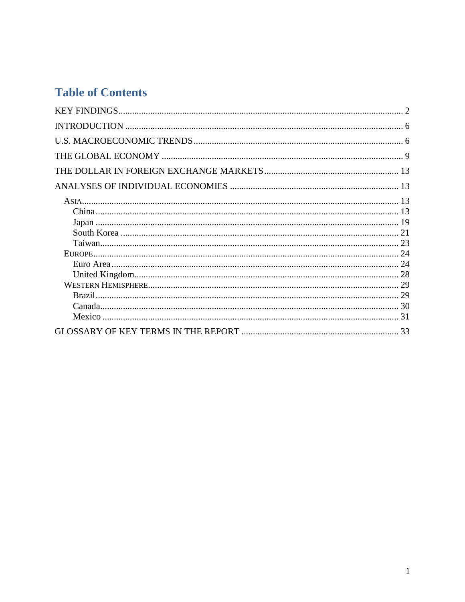# **Table of Contents**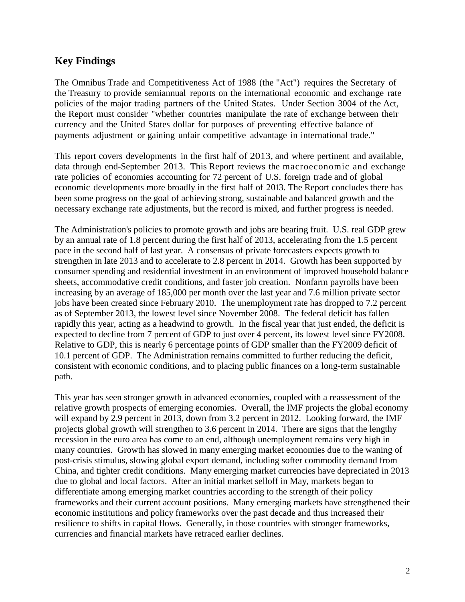# **Key Findings**

The Omnibus Trade and Competitiveness Act of 1988 (the "Act") requires the Secretary of the Treasury to provide semiannual reports on the international economic and exchange rate policies of the major trading partners of the United States. Under Section 3004 of the Act, the Report must consider "whether countries manipulate the rate of exchange between their currency and the United States dollar for purposes of preventing effective balance of payments adjustment or gaining unfair competitive advantage in international trade."

This report covers developments in the first half of 2013, and where pertinent and available, data through end-September 2013. This Report reviews the macroeconomic and exchange rate policies of economies accounting for 72 percent of U.S. foreign trade and of global economic developments more broadly in the first half of 2013. The Report concludes there has been some progress on the goal of achieving strong, sustainable and balanced growth and the necessary exchange rate adjustments, but the record is mixed, and further progress is needed.

The Administration's policies to promote growth and jobs are bearing fruit. U.S. real GDP grew by an annual rate of 1.8 percent during the first half of 2013, accelerating from the 1.5 percent pace in the second half of last year. A consensus of private forecasters expects growth to strengthen in late 2013 and to accelerate to 2.8 percent in 2014. Growth has been supported by consumer spending and residential investment in an environment of improved household balance sheets, accommodative credit conditions, and faster job creation. Nonfarm payrolls have been increasing by an average of 185,000 per month over the last year and 7.6 million private sector jobs have been created since February 2010. The unemployment rate has dropped to 7.2 percent as of September 2013, the lowest level since November 2008. The federal deficit has fallen rapidly this year, acting as a headwind to growth. In the fiscal year that just ended, the deficit is expected to decline from 7 percent of GDP to just over 4 percent, its lowest level since FY2008. Relative to GDP, this is nearly 6 percentage points of GDP smaller than the FY2009 deficit of 10.1 percent of GDP. The Administration remains committed to further reducing the deficit, consistent with economic conditions, and to placing public finances on a long-term sustainable path.

This year has seen stronger growth in advanced economies, coupled with a reassessment of the relative growth prospects of emerging economies. Overall, the IMF projects the global economy will expand by 2.9 percent in 2013, down from 3.2 percent in 2012. Looking forward, the IMF projects global growth will strengthen to 3.6 percent in 2014. There are signs that the lengthy recession in the euro area has come to an end, although unemployment remains very high in many countries. Growth has slowed in many emerging market economies due to the waning of post-crisis stimulus, slowing global export demand, including softer commodity demand from China, and tighter credit conditions. Many emerging market currencies have depreciated in 2013 due to global and local factors. After an initial market selloff in May, markets began to differentiate among emerging market countries according to the strength of their policy frameworks and their current account positions. Many emerging markets have strengthened their economic institutions and policy frameworks over the past decade and thus increased their resilience to shifts in capital flows. Generally, in those countries with stronger frameworks, currencies and financial markets have retraced earlier declines.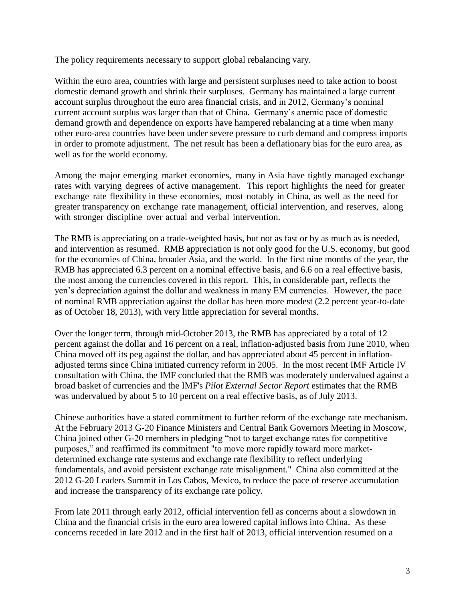The policy requirements necessary to support global rebalancing vary.

Within the euro area, countries with large and persistent surpluses need to take action to boost domestic demand growth and shrink their surpluses. Germany has maintained a large current account surplus throughout the euro area financial crisis, and in 2012, Germany's nominal current account surplus was larger than that of China. Germany's anemic pace of domestic demand growth and dependence on exports have hampered rebalancing at a time when many other euro-area countries have been under severe pressure to curb demand and compress imports in order to promote adjustment. The net result has been a deflationary bias for the euro area, as well as for the world economy.

Among the major emerging market economies, many in Asia have tightly managed exchange rates with varying degrees of active management. This report highlights the need for greater exchange rate flexibility in these economies, most notably in China, as well as the need for greater transparency on exchange rate management, official intervention, and reserves, along with stronger discipline over actual and verbal intervention.

The RMB is appreciating on a trade-weighted basis, but not as fast or by as much as is needed, and intervention as resumed. RMB appreciation is not only good for the U.S. economy, but good for the economies of China, broader Asia, and the world. In the first nine months of the year, the RMB has appreciated 6.3 percent on a nominal effective basis, and 6.6 on a real effective basis, the most among the currencies covered in this report. This, in considerable part, reflects the yen's depreciation against the dollar and weakness in many EM currencies. However, the pace of nominal RMB appreciation against the dollar has been more modest (2.2 percent year-to-date as of October 18, 2013), with very little appreciation for several months.

Over the longer term, through mid-October 2013, the RMB has appreciated by a total of 12 percent against the dollar and 16 percent on a real, inflation-adjusted basis from June 2010, when China moved off its peg against the dollar, and has appreciated about 45 percent in inflationadjusted terms since China initiated currency reform in 2005. In the most recent IMF Article IV consultation with China, the IMF concluded that the RMB was moderately undervalued against a broad basket of currencies and the IMF's *Pilot External Sector Report* estimates that the RMB was undervalued by about 5 to 10 percent on a real effective basis, as of July 2013.

Chinese authorities have a stated commitment to further reform of the exchange rate mechanism. At the February 2013 G-20 Finance Ministers and Central Bank Governors Meeting in Moscow, China joined other G-20 members in pledging "not to target exchange rates for competitive purposes," and reaffirmed its commitment "to move more rapidly toward more marketdetermined exchange rate systems and exchange rate flexibility to reflect underlying fundamentals, and avoid persistent exchange rate misalignment." China also committed at the 2012 G-20 Leaders Summit in Los Cabos, Mexico, to reduce the pace of reserve accumulation and increase the transparency of its exchange rate policy.

From late 2011 through early 2012, official intervention fell as concerns about a slowdown in China and the financial crisis in the euro area lowered capital inflows into China. As these concerns receded in late 2012 and in the first half of 2013, official intervention resumed on a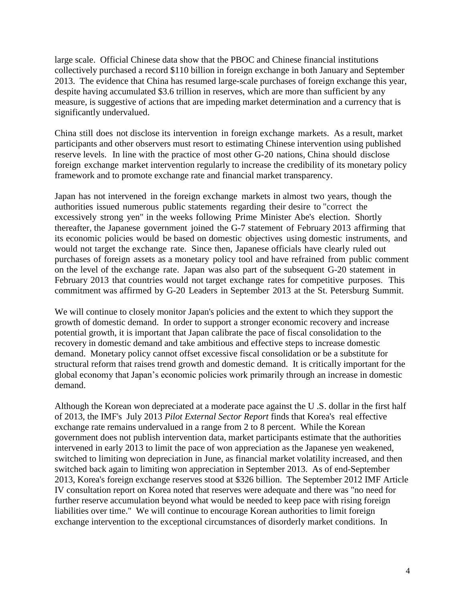large scale. Official Chinese data show that the PBOC and Chinese financial institutions collectively purchased a record \$110 billion in foreign exchange in both January and September 2013. The evidence that China has resumed large-scale purchases of foreign exchange this year, despite having accumulated \$3.6 trillion in reserves, which are more than sufficient by any measure, is suggestive of actions that are impeding market determination and a currency that is significantly undervalued.

China still does not disclose its intervention in foreign exchange markets. As a result, market participants and other observers must resort to estimating Chinese intervention using published reserve levels. In line with the practice of most other G-20 nations, China should disclose foreign exchange market intervention regularly to increase the credibility of its monetary policy framework and to promote exchange rate and financial market transparency.

Japan has not intervened in the foreign exchange markets in almost two years, though the authorities issued numerous public statements regarding their desire to "correct the excessively strong yen" in the weeks following Prime Minister Abe's election. Shortly thereafter, the Japanese government joined the G-7 statement of February 2013 affirming that its economic policies would be based on domestic objectives using domestic instruments, and would not target the exchange rate. Since then, Japanese officials have clearly ruled out purchases of foreign assets as a monetary policy tool and have refrained from public comment on the level of the exchange rate. Japan was also part of the subsequent G-20 statement in February 2013 that countries would not target exchange rates for competitive purposes. This commitment was affirmed by G-20 Leaders in September 2013 at the St. Petersburg Summit.

We will continue to closely monitor Japan's policies and the extent to which they support the growth of domestic demand. In order to support a stronger economic recovery and increase potential growth, it is important that Japan calibrate the pace of fiscal consolidation to the recovery in domestic demand and take ambitious and effective steps to increase domestic demand. Monetary policy cannot offset excessive fiscal consolidation or be a substitute for structural reform that raises trend growth and domestic demand. It is critically important for the global economy that Japan's economic policies work primarily through an increase in domestic demand.

Although the Korean won depreciated at a moderate pace against the U .S. dollar in the first half of 2013, the IMF's July 2013 *Pilot External Sector Report* finds that Korea's real effective exchange rate remains undervalued in a range from 2 to 8 percent. While the Korean government does not publish intervention data, market participants estimate that the authorities intervened in early 2013 to limit the pace of won appreciation as the Japanese yen weakened, switched to limiting won depreciation in June, as financial market volatility increased, and then switched back again to limiting won appreciation in September 2013. As of end-September 2013, Korea's foreign exchange reserves stood at \$326 billion. The September 2012 IMF Article IV consultation report on Korea noted that reserves were adequate and there was "no need for further reserve accumulation beyond what would be needed to keep pace with rising foreign liabilities over time." We will continue to encourage Korean authorities to limit foreign exchange intervention to the exceptional circumstances of disorderly market conditions. In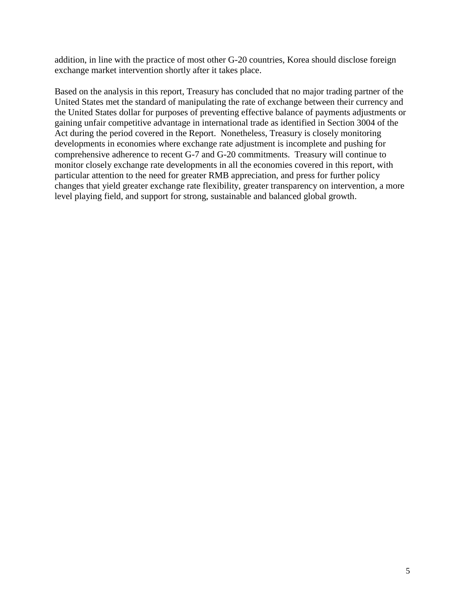addition, in line with the practice of most other G-20 countries, Korea should disclose foreign exchange market intervention shortly after it takes place.

Based on the analysis in this report, Treasury has concluded that no major trading partner of the United States met the standard of manipulating the rate of exchange between their currency and the United States dollar for purposes of preventing effective balance of payments adjustments or gaining unfair competitive advantage in international trade as identified in Section 3004 of the Act during the period covered in the Report. Nonetheless, Treasury is closely monitoring developments in economies where exchange rate adjustment is incomplete and pushing for comprehensive adherence to recent G-7 and G-20 commitments. Treasury will continue to monitor closely exchange rate developments in all the economies covered in this report, with particular attention to the need for greater RMB appreciation, and press for further policy changes that yield greater exchange rate flexibility, greater transparency on intervention, a more level playing field, and support for strong, sustainable and balanced global growth.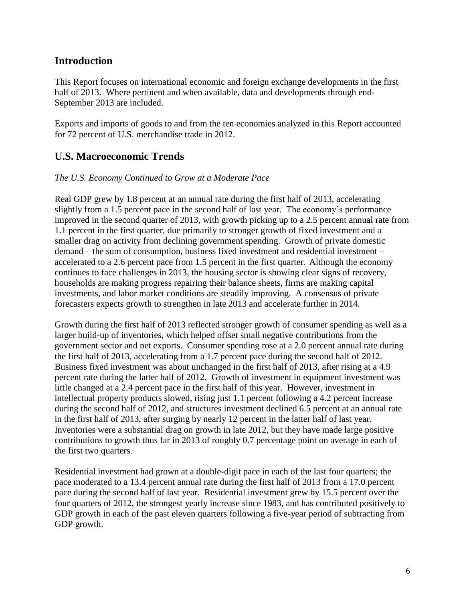# <span id="page-6-0"></span>**Introduction**

This Report focuses on international economic and foreign exchange developments in the first half of 2013. Where pertinent and when available, data and developments through end-September 2013 are included.

Exports and imports of goods to and from the ten economies analyzed in this Report accounted for 72 percent of U.S. merchandise trade in 2012.

# <span id="page-6-1"></span>**U.S. Macroeconomic Trends**

#### *The U.S. Economy Continued to Grow at a Moderate Pace*

Real GDP grew by 1.8 percent at an annual rate during the first half of 2013, accelerating slightly from a 1.5 percent pace in the second half of last year. The economy's performance improved in the second quarter of 2013, with growth picking up to a 2.5 percent annual rate from 1.1 percent in the first quarter, due primarily to stronger growth of fixed investment and a smaller drag on activity from declining government spending. Growth of private domestic demand – the sum of consumption, business fixed investment and residential investment – accelerated to a 2.6 percent pace from 1.5 percent in the first quarter. Although the economy continues to face challenges in 2013, the housing sector is showing clear signs of recovery, households are making progress repairing their balance sheets, firms are making capital investments, and labor market conditions are steadily improving. A consensus of private forecasters expects growth to strengthen in late 2013 and accelerate further in 2014.

Growth during the first half of 2013 reflected stronger growth of consumer spending as well as a larger build-up of inventories, which helped offset small negative contributions from the government sector and net exports. Consumer spending rose at a 2.0 percent annual rate during the first half of 2013, accelerating from a 1.7 percent pace during the second half of 2012. Business fixed investment was about unchanged in the first half of 2013, after rising at a 4.9 percent rate during the latter half of 2012. Growth of investment in equipment investment was little changed at a 2.4 percent pace in the first half of this year. However, investment in intellectual property products slowed, rising just 1.1 percent following a 4.2 percent increase during the second half of 2012, and structures investment declined 6.5 percent at an annual rate in the first half of 2013, after surging by nearly 12 percent in the latter half of last year. Inventories were a substantial drag on growth in late 2012, but they have made large positive contributions to growth thus far in 2013 of roughly 0.7 percentage point on average in each of the first two quarters.

Residential investment had grown at a double-digit pace in each of the last four quarters; the pace moderated to a 13.4 percent annual rate during the first half of 2013 from a 17.0 percent pace during the second half of last year. Residential investment grew by 15.5 percent over the four quarters of 2012, the strongest yearly increase since 1983, and has contributed positively to GDP growth in each of the past eleven quarters following a five-year period of subtracting from GDP growth.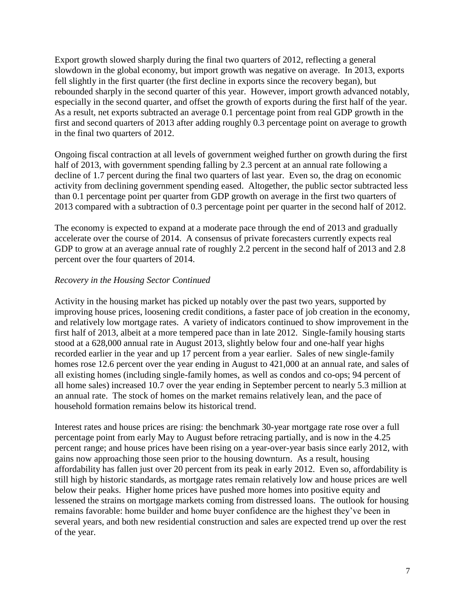Export growth slowed sharply during the final two quarters of 2012, reflecting a general slowdown in the global economy, but import growth was negative on average. In 2013, exports fell slightly in the first quarter (the first decline in exports since the recovery began), but rebounded sharply in the second quarter of this year. However, import growth advanced notably, especially in the second quarter, and offset the growth of exports during the first half of the year. As a result, net exports subtracted an average 0.1 percentage point from real GDP growth in the first and second quarters of 2013 after adding roughly 0.3 percentage point on average to growth in the final two quarters of 2012.

Ongoing fiscal contraction at all levels of government weighed further on growth during the first half of 2013, with government spending falling by 2.3 percent at an annual rate following a decline of 1.7 percent during the final two quarters of last year. Even so, the drag on economic activity from declining government spending eased. Altogether, the public sector subtracted less than 0.1 percentage point per quarter from GDP growth on average in the first two quarters of 2013 compared with a subtraction of 0.3 percentage point per quarter in the second half of 2012.

The economy is expected to expand at a moderate pace through the end of 2013 and gradually accelerate over the course of 2014. A consensus of private forecasters currently expects real GDP to grow at an average annual rate of roughly 2.2 percent in the second half of 2013 and 2.8 percent over the four quarters of 2014.

#### *Recovery in the Housing Sector Continued*

Activity in the housing market has picked up notably over the past two years, supported by improving house prices, loosening credit conditions, a faster pace of job creation in the economy, and relatively low mortgage rates. A variety of indicators continued to show improvement in the first half of 2013, albeit at a more tempered pace than in late 2012. Single-family housing starts stood at a 628,000 annual rate in August 2013, slightly below four and one-half year highs recorded earlier in the year and up 17 percent from a year earlier. Sales of new single-family homes rose 12.6 percent over the year ending in August to 421,000 at an annual rate, and sales of all existing homes (including single-family homes, as well as condos and co-ops; 94 percent of all home sales) increased 10.7 over the year ending in September percent to nearly 5.3 million at an annual rate. The stock of homes on the market remains relatively lean, and the pace of household formation remains below its historical trend.

Interest rates and house prices are rising: the benchmark 30-year mortgage rate rose over a full percentage point from early May to August before retracing partially, and is now in the 4.25 percent range; and house prices have been rising on a year-over-year basis since early 2012, with gains now approaching those seen prior to the housing downturn. As a result, housing affordability has fallen just over 20 percent from its peak in early 2012. Even so, affordability is still high by historic standards, as mortgage rates remain relatively low and house prices are well below their peaks. Higher home prices have pushed more homes into positive equity and lessened the strains on mortgage markets coming from distressed loans. The outlook for housing remains favorable: home builder and home buyer confidence are the highest they've been in several years, and both new residential construction and sales are expected trend up over the rest of the year.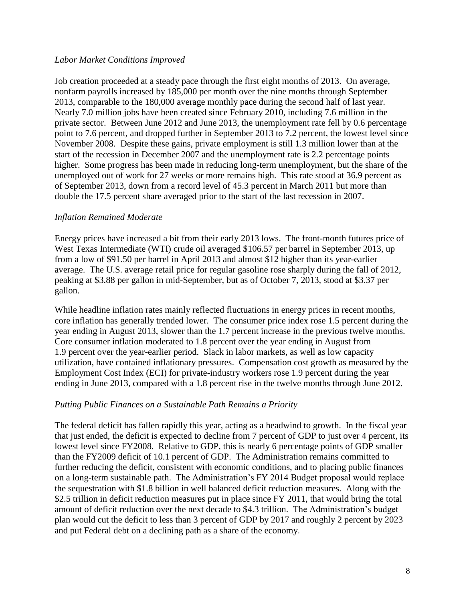#### *Labor Market Conditions Improved*

Job creation proceeded at a steady pace through the first eight months of 2013. On average, nonfarm payrolls increased by 185,000 per month over the nine months through September 2013, comparable to the 180,000 average monthly pace during the second half of last year. Nearly 7.0 million jobs have been created since February 2010, including 7.6 million in the private sector. Between June 2012 and June 2013, the unemployment rate fell by 0.6 percentage point to 7.6 percent, and dropped further in September 2013 to 7.2 percent, the lowest level since November 2008. Despite these gains, private employment is still 1.3 million lower than at the start of the recession in December 2007 and the unemployment rate is 2.2 percentage points higher. Some progress has been made in reducing long-term unemployment, but the share of the unemployed out of work for 27 weeks or more remains high. This rate stood at 36.9 percent as of September 2013, down from a record level of 45.3 percent in March 2011 but more than double the 17.5 percent share averaged prior to the start of the last recession in 2007.

#### *Inflation Remained Moderate*

Energy prices have increased a bit from their early 2013 lows. The front-month futures price of West Texas Intermediate (WTI) crude oil averaged \$106.57 per barrel in September 2013, up from a low of \$91.50 per barrel in April 2013 and almost \$12 higher than its year-earlier average. The U.S. average retail price for regular gasoline rose sharply during the fall of 2012, peaking at \$3.88 per gallon in mid-September, but as of October 7, 2013, stood at \$3.37 per gallon.

While headline inflation rates mainly reflected fluctuations in energy prices in recent months, core inflation has generally trended lower. The consumer price index rose 1.5 percent during the year ending in August 2013, slower than the 1.7 percent increase in the previous twelve months. Core consumer inflation moderated to 1.8 percent over the year ending in August from 1.9 percent over the year-earlier period. Slack in labor markets, as well as low capacity utilization, have contained inflationary pressures. Compensation cost growth as measured by the Employment Cost Index (ECI) for private-industry workers rose 1.9 percent during the year ending in June 2013, compared with a 1.8 percent rise in the twelve months through June 2012.

#### *Putting Public Finances on a Sustainable Path Remains a Priority*

The federal deficit has fallen rapidly this year, acting as a headwind to growth. In the fiscal year that just ended, the deficit is expected to decline from 7 percent of GDP to just over 4 percent, its lowest level since FY2008. Relative to GDP, this is nearly 6 percentage points of GDP smaller than the FY2009 deficit of 10.1 percent of GDP. The Administration remains committed to further reducing the deficit, consistent with economic conditions, and to placing public finances on a long-term sustainable path. The Administration's FY 2014 Budget proposal would replace the sequestration with \$1.8 billion in well balanced deficit reduction measures. Along with the \$2.5 trillion in deficit reduction measures put in place since FY 2011, that would bring the total amount of deficit reduction over the next decade to \$4.3 trillion. The Administration's budget plan would cut the deficit to less than 3 percent of GDP by 2017 and roughly 2 percent by 2023 and put Federal debt on a declining path as a share of the economy.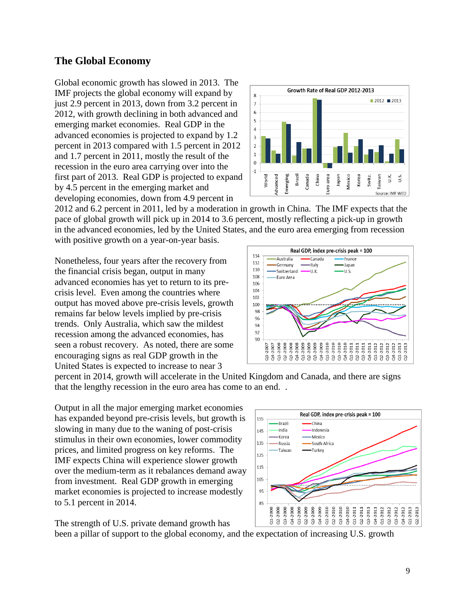# <span id="page-9-0"></span>**The Global Economy**

Global economic growth has slowed in 2013. The IMF projects the global economy will expand by just 2.9 percent in 2013, down from 3.2 percent in 2012, with growth declining in both advanced and emerging market economies. Real GDP in the advanced economies is projected to expand by 1.2 percent in 2013 compared with 1.5 percent in 2012 and 1.7 percent in 2011, mostly the result of the recession in the euro area carrying over into the first part of 2013. Real GDP is projected to expand by 4.5 percent in the emerging market and developing economies, down from 4.9 percent in



2012 and 6.2 percent in 2011, led by a moderation in growth in China. The IMF expects that the pace of global growth will pick up in 2014 to 3.6 percent, mostly reflecting a pick-up in growth in the advanced economies, led by the United States, and the euro area emerging from recession with positive growth on a year-on-year basis.

Nonetheless, four years after the recovery from the financial crisis began, output in many advanced economies has yet to return to its precrisis level. Even among the countries where output has moved above pre-crisis levels, growth remains far below levels implied by pre-crisis trends. Only Australia, which saw the mildest recession among the advanced economies, has seen a robust recovery. As noted, there are some encouraging signs as real GDP growth in the United States is expected to increase to near 3



percent in 2014, growth will accelerate in the United Kingdom and Canada, and there are signs that the lengthy recession in the euro area has come to an end. .

Output in all the major emerging market economies has expanded beyond pre-crisis levels, but growth is slowing in many due to the waning of post-crisis stimulus in their own economies, lower commodity prices, and limited progress on key reforms. The IMF expects China will experience slower growth over the medium-term as it rebalances demand away from investment. Real GDP growth in emerging market economies is projected to increase modestly to 5.1 percent in 2014.



The strength of U.S. private demand growth has

been a pillar of support to the global economy, and the expectation of increasing U.S. growth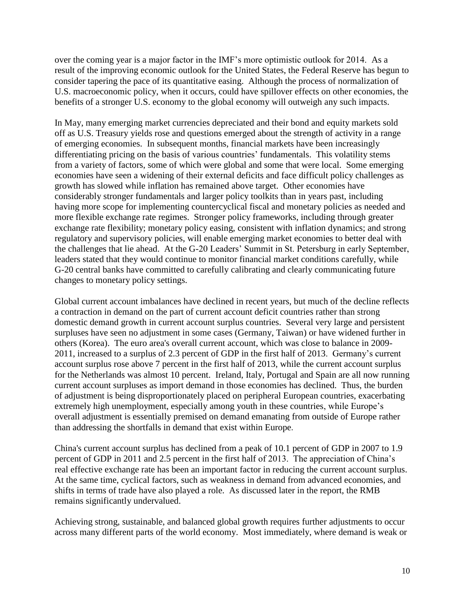over the coming year is a major factor in the IMF's more optimistic outlook for 2014. As a result of the improving economic outlook for the United States, the Federal Reserve has begun to consider tapering the pace of its quantitative easing. Although the process of normalization of U.S. macroeconomic policy, when it occurs, could have spillover effects on other economies, the benefits of a stronger U.S. economy to the global economy will outweigh any such impacts.

In May, many emerging market currencies depreciated and their bond and equity markets sold off as U.S. Treasury yields rose and questions emerged about the strength of activity in a range of emerging economies. In subsequent months, financial markets have been increasingly differentiating pricing on the basis of various countries' fundamentals. This volatility stems from a variety of factors, some of which were global and some that were local. Some emerging economies have seen a widening of their external deficits and face difficult policy challenges as growth has slowed while inflation has remained above target. Other economies have considerably stronger fundamentals and larger policy toolkits than in years past, including having more scope for implementing countercyclical fiscal and monetary policies as needed and more flexible exchange rate regimes. Stronger policy frameworks, including through greater exchange rate flexibility; monetary policy easing, consistent with inflation dynamics; and strong regulatory and supervisory policies, will enable emerging market economies to better deal with the challenges that lie ahead. At the G-20 Leaders' Summit in St. Petersburg in early September, leaders stated that they would continue to monitor financial market conditions carefully, while G-20 central banks have committed to carefully calibrating and clearly communicating future changes to monetary policy settings.

Global current account imbalances have declined in recent years, but much of the decline reflects a contraction in demand on the part of current account deficit countries rather than strong domestic demand growth in current account surplus countries. Several very large and persistent surpluses have seen no adjustment in some cases (Germany, Taiwan) or have widened further in others (Korea). The euro area's overall current account, which was close to balance in 2009- 2011, increased to a surplus of 2.3 percent of GDP in the first half of 2013. Germany's current account surplus rose above 7 percent in the first half of 2013, while the current account surplus for the Netherlands was almost 10 percent. Ireland, Italy, Portugal and Spain are all now running current account surpluses as import demand in those economies has declined. Thus, the burden of adjustment is being disproportionately placed on peripheral European countries, exacerbating extremely high unemployment, especially among youth in these countries, while Europe's overall adjustment is essentially premised on demand emanating from outside of Europe rather than addressing the shortfalls in demand that exist within Europe.

China's current account surplus has declined from a peak of 10.1 percent of GDP in 2007 to 1.9 percent of GDP in 2011 and 2.5 percent in the first half of 2013. The appreciation of China's real effective exchange rate has been an important factor in reducing the current account surplus. At the same time, cyclical factors, such as weakness in demand from advanced economies, and shifts in terms of trade have also played a role. As discussed later in the report, the RMB remains significantly undervalued.

Achieving strong, sustainable, and balanced global growth requires further adjustments to occur across many different parts of the world economy. Most immediately, where demand is weak or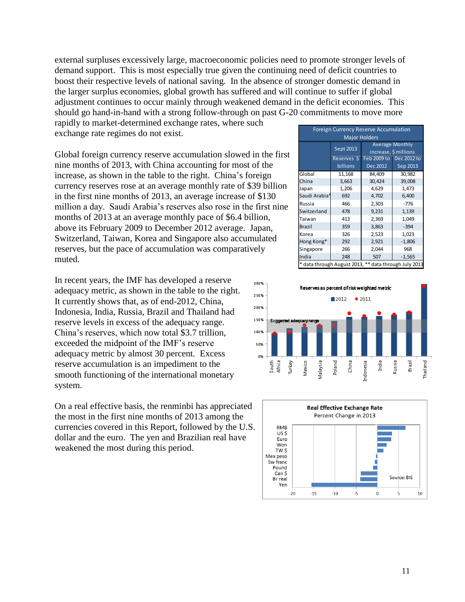external surpluses excessively large, macroeconomic policies need to promote stronger levels of demand support. This is most especially true given the continuing need of deficit countries to boost their respective levels of national saving. In the absence of stronger domestic demand in the larger surplus economies, global growth has suffered and will continue to suffer if global adjustment continues to occur mainly through weakened demand in the deficit economies. This should go hand-in-hand with a strong follow-through on past G-20 commitments to move more

rapidly to market-determined exchange rates, where such exchange rate regimes do not exist.

Global foreign currency reserve accumulation slowed in the first nine months of 2013, with China accounting for most of the increase, as shown in the table to the right. China's foreign currency reserves rose at an average monthly rate of \$39 billion in the first nine months of 2013, an average increase of \$130 million a day. Saudi Arabia's reserves also rose in the first nine months of 2013 at an average monthly pace of \$6.4 billion, above its February 2009 to December 2012 average. Japan, Switzerland, Taiwan, Korea and Singapore also accumulated reserves, but the pace of accumulation was comparatively muted.

In recent years, the IMF has developed a reserve adequacy metric, as shown in the table to the right. It currently shows that, as of end-2012, China, Indonesia, India, Russia, Brazil and Thailand had reserve levels in excess of the adequacy range. China's reserves, which now total \$3.7 trillion, exceeded the midpoint of the IMF's reserve adequacy metric by almost 30 percent. Excess reserve accumulation is an impediment to the smooth functioning of the international monetary system.

On a real effective basis, the renminbi has appreciated the most in the first nine months of 2013 among the currencies covered in this Report, followed by the U.S. dollar and the euro. The yen and Brazilian real have weakened the most during this period.

| <b>Foreign Currency Reserve Accumulation</b>          |                 |                        |                         |  |  |  |  |  |
|-------------------------------------------------------|-----------------|------------------------|-------------------------|--|--|--|--|--|
| <b>Major Holders</b>                                  |                 |                        |                         |  |  |  |  |  |
|                                                       | Sept 2013       | <b>Average Monthly</b> |                         |  |  |  |  |  |
|                                                       |                 | increase, \$ millions  |                         |  |  |  |  |  |
|                                                       | Reserves \$     |                        | Feb 2009 to Dec 2012 to |  |  |  |  |  |
|                                                       | <b>billions</b> | Dec 2012               | Sep 2013                |  |  |  |  |  |
| Global                                                | 11,168          | 84,409                 | 30,982                  |  |  |  |  |  |
| China                                                 | 3,663           | 30,424                 | 39,008                  |  |  |  |  |  |
| Japan                                                 | 1,206           | 4,629                  | 1,473                   |  |  |  |  |  |
| Saudi Arabia*                                         | 692             | 4,702                  | 6,400                   |  |  |  |  |  |
| Russia                                                | 466             | 2,303                  | $-776$                  |  |  |  |  |  |
| Switzerland                                           | 478             | 9,231                  | 1,139                   |  |  |  |  |  |
| Taiwan                                                | 413             | 2,369                  | 1,049                   |  |  |  |  |  |
| <b>Brazil</b>                                         | 359             | 3,863                  | $-394$                  |  |  |  |  |  |
| Korea                                                 | 326             | 2,523                  | 1,023                   |  |  |  |  |  |
| Hong Kong*                                            | 292             | 2,921                  | $-1,806$                |  |  |  |  |  |
| Singapore                                             | 266             | 2,044                  | 968                     |  |  |  |  |  |
| India                                                 | 248             | 507                    | $-1,565$                |  |  |  |  |  |
| * data through August 2013, ** data through July 2013 |                 |                        |                         |  |  |  |  |  |



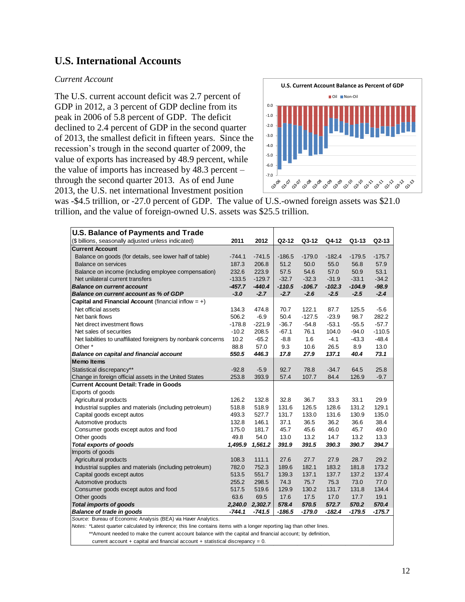### **U.S. International Accounts**

#### *Current Account*

The U.S. current account deficit was 2.7 percent of GDP in 2012, a 3 percent of GDP decline from its peak in 2006 of 5.8 percent of GDP. The deficit declined to 2.4 percent of GDP in the second quarter of 2013, the smallest deficit in fifteen years. Since the recession's trough in the second quarter of 2009, the value of exports has increased by 48.9 percent, while the value of imports has increased by 48.3 percent – through the second quarter 2013. As of end June 2013, the U.S. net international Investment position



was -\$4.5 trillion, or -27.0 percent of GDP. The value of U.S.-owned foreign assets was \$21.0 trillion, and the value of foreign-owned U.S. assets was \$25.5 trillion.

| <b>U.S. Balance of Payments and Trade</b>                      |          |          |          |          |          |          |          |
|----------------------------------------------------------------|----------|----------|----------|----------|----------|----------|----------|
| (\$ billions, seasonally adjusted unless indicated)            | 2011     | 2012     | Q2-12    | Q3-12    | Q4-12    | $Q1-13$  | $Q2-13$  |
| <b>Current Account</b>                                         |          |          |          |          |          |          |          |
| Balance on goods (for details, see lower half of table)        | $-744.1$ | $-741.5$ | $-186.5$ | $-179.0$ | $-182.4$ | $-179.5$ | $-175.7$ |
| <b>Balance on services</b>                                     | 187.3    | 206.8    | 51.2     | 50.0     | 55.0     | 56.8     | 57.9     |
| Balance on income (including employee compensation)            | 232.6    | 223.9    | 57.5     | 54.6     | 57.0     | 50.9     | 53.1     |
| Net unilateral current transfers                               | $-133.5$ | $-129.7$ | $-32.7$  | $-32.3$  | $-31.9$  | $-33.1$  | $-34.2$  |
| <b>Balance on current account</b>                              | $-457.7$ | $-440.4$ | $-110.5$ | $-106.7$ | $-102.3$ | $-104.9$ | $-98.9$  |
| Balance on current account as % of GDP                         | $-3.0$   | $-2.7$   | $-2.7$   | $-2.6$   | $-2.5$   | $-2.5$   | $-2.4$   |
| Capital and Financial Account (financial inflow $= +$ )        |          |          |          |          |          |          |          |
| Net official assets                                            | 134.3    | 474.8    | 70.7     | 122.1    | 87.7     | 125.5    | $-5.6$   |
| Net bank flows                                                 | 506.2    | $-6.9$   | 50.4     | $-127.5$ | $-23.9$  | 98.7     | 282.2    |
| Net direct investment flows                                    | $-178.8$ | $-221.9$ | $-36.7$  | $-54.8$  | $-53.1$  | $-55.5$  | $-57.7$  |
| Net sales of securities                                        | $-10.2$  | 208.5    | $-67.1$  | 76.1     | 104.0    | $-94.0$  | $-110.5$ |
| Net liabilities to unaffiliated foreigners by nonbank concerns | 10.2     | $-65.2$  | $-8.8$   | 1.6      | $-4.1$   | $-43.3$  | $-48.4$  |
| Other <sup>*</sup>                                             | 88.8     | 57.0     | 9.3      | 10.6     | 26.5     | 8.9      | 13.0     |
| <b>Balance on capital and financial account</b>                | 550.5    | 446.3    | 17.8     | 27.9     | 137.1    | 40.4     | 73.1     |
| <b>Memo Items</b>                                              |          |          |          |          |          |          |          |
| Statistical discrepancy**                                      | $-92.8$  | $-5.9$   | 92.7     | 78.8     | $-34.7$  | 64.5     | 25.8     |
| Change in foreign official assets in the United States         | 253.8    | 393.9    | 57.4     | 107.7    | 84.4     | 126.9    | $-9.7$   |
| <b>Current Account Detail: Trade in Goods</b>                  |          |          |          |          |          |          |          |
| Exports of goods                                               |          |          |          |          |          |          |          |
| Agricultural products                                          | 126.2    | 132.8    | 32.8     | 36.7     | 33.3     | 33.1     | 29.9     |
| Industrial supplies and materials (including petroleum)        | 518.8    | 518.9    | 131.6    | 126.5    | 128.6    | 131.2    | 129.1    |
| Capital goods except autos                                     | 493.3    | 527.7    | 131.7    | 133.0    | 131.6    | 130.9    | 135.0    |
| Automotive products                                            | 132.8    | 146.1    | 37.1     | 36.5     | 36.2     | 36.6     | 38.4     |
| Consumer goods except autos and food                           | 175.0    | 181.7    | 45.7     | 45.6     | 46.0     | 45.7     | 49.0     |
| Other goods                                                    | 49.8     | 54.0     | 13.0     | 13.2     | 14.7     | 13.2     | 13.3     |
| <b>Total exports of goods</b>                                  | 1,495.9  | 1,561.2  | 391.9    | 391.5    | 390.3    | 390.7    | 394.7    |
| Imports of goods                                               |          |          |          |          |          |          |          |
| Agricultural products                                          | 108.3    | 111.1    | 27.6     | 27.7     | 27.9     | 28.7     | 29.2     |
| Industrial supplies and materials (including petroleum)        | 782.0    | 752.3    | 189.6    | 182.1    | 183.2    | 181.8    | 173.2    |
| Capital goods except autos                                     | 513.5    | 551.7    | 139.3    | 137.1    | 137.7    | 137.2    | 137.4    |
| Automotive products                                            | 255.2    | 298.5    | 74.3     | 75.7     | 75.3     | 73.0     | 77.0     |
| Consumer goods except autos and food                           | 517.5    | 519.6    | 129.9    | 130.2    | 131.7    | 131.8    | 134.4    |
| Other goods                                                    | 63.6     | 69.5     | 17.6     | 17.5     | 17.0     | 17.7     | 19.1     |
| <b>Total imports of goods</b>                                  | 2.240.0  | 2,302.7  | 578.4    | 570.5    | 572.7    | 570.2    | 570.4    |
| <b>Balance of trade in goods</b>                               | $-744.1$ | $-741.5$ | $-186.5$ | $-179.0$ | $-182.4$ | $-179.5$ | $-175.7$ |
| Source: Bureau of Economic Analysis (BEA) via Haver Analytics. |          |          |          |          |          |          |          |

*Notes:* \*Latest quarter calculated by inference; this line contains items with a longer reporting lag than other lines.

\*\*Amount needed to make the current account balance with the capital and financial account; by definition,

current account + capital and financial account + statistical discrepancy = 0.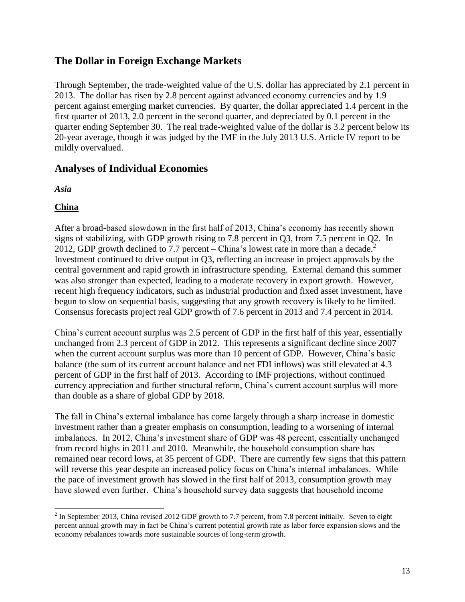# <span id="page-13-0"></span>**The Dollar in Foreign Exchange Markets**

Through September, the trade-weighted value of the U.S. dollar has appreciated by 2.1 percent in 2013. The dollar has risen by 2.8 percent against advanced economy currencies and by 1.9 percent against emerging market currencies. By quarter, the dollar appreciated 1.4 percent in the first quarter of 2013, 2.0 percent in the second quarter, and depreciated by 0.1 percent in the quarter ending September 30. The real trade-weighted value of the dollar is 3.2 percent below its 20-year average, though it was judged by the IMF in the July 2013 U.S. Article IV report to be mildly overvalued.

# <span id="page-13-1"></span>**Analyses of Individual Economies**

<span id="page-13-2"></span>*Asia*

### <span id="page-13-3"></span>**China**

 $\overline{a}$ 

After a broad-based slowdown in the first half of 2013, China's economy has recently shown signs of stabilizing, with GDP growth rising to 7.8 percent in Q3, from 7.5 percent in Q2. In 2012, GDP growth declined to 7.7 percent – China's lowest rate in more than a decade.<sup>2</sup> Investment continued to drive output in Q3, reflecting an increase in project approvals by the central government and rapid growth in infrastructure spending. External demand this summer was also stronger than expected, leading to a moderate recovery in export growth. However, recent high frequency indicators, such as industrial production and fixed asset investment, have begun to slow on sequential basis, suggesting that any growth recovery is likely to be limited. Consensus forecasts project real GDP growth of 7.6 percent in 2013 and 7.4 percent in 2014.

China's current account surplus was 2.5 percent of GDP in the first half of this year, essentially unchanged from 2.3 percent of GDP in 2012. This represents a significant decline since 2007 when the current account surplus was more than 10 percent of GDP. However, China's basic balance (the sum of its current account balance and net FDI inflows) was still elevated at 4.3 percent of GDP in the first half of 2013. According to IMF projections, without continued currency appreciation and further structural reform, China's current account surplus will more than double as a share of global GDP by 2018.

The fall in China's external imbalance has come largely through a sharp increase in domestic investment rather than a greater emphasis on consumption, leading to a worsening of internal imbalances. In 2012, China's investment share of GDP was 48 percent, essentially unchanged from record highs in 2011 and 2010. Meanwhile, the household consumption share has remained near record lows, at 35 percent of GDP. There are currently few signs that this pattern will reverse this year despite an increased policy focus on China's internal imbalances. While the pace of investment growth has slowed in the first half of 2013, consumption growth may have slowed even further. China's household survey data suggests that household income

 $2$  In September 2013, China revised 2012 GDP growth to 7.7 percent, from 7.8 percent initially. Seven to eight percent annual growth may in fact be China's current potential growth rate as labor force expansion slows and the economy rebalances towards more sustainable sources of long-term growth.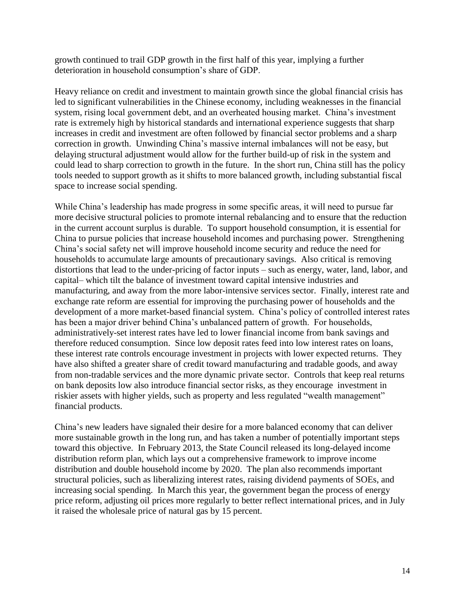growth continued to trail GDP growth in the first half of this year, implying a further deterioration in household consumption's share of GDP.

Heavy reliance on credit and investment to maintain growth since the global financial crisis has led to significant vulnerabilities in the Chinese economy, including weaknesses in the financial system, rising local government debt, and an overheated housing market. China's investment rate is extremely high by historical standards and international experience suggests that sharp increases in credit and investment are often followed by financial sector problems and a sharp correction in growth. Unwinding China's massive internal imbalances will not be easy, but delaying structural adjustment would allow for the further build-up of risk in the system and could lead to sharp correction to growth in the future. In the short run, China still has the policy tools needed to support growth as it shifts to more balanced growth, including substantial fiscal space to increase social spending.

While China's leadership has made progress in some specific areas, it will need to pursue far more decisive structural policies to promote internal rebalancing and to ensure that the reduction in the current account surplus is durable. To support household consumption, it is essential for China to pursue policies that increase household incomes and purchasing power. Strengthening China's social safety net will improve household income security and reduce the need for households to accumulate large amounts of precautionary savings. Also critical is removing distortions that lead to the under-pricing of factor inputs – such as energy, water, land, labor, and capital– which tilt the balance of investment toward capital intensive industries and manufacturing, and away from the more labor-intensive services sector. Finally, interest rate and exchange rate reform are essential for improving the purchasing power of households and the development of a more market-based financial system. China's policy of controlled interest rates has been a major driver behind China's unbalanced pattern of growth. For households, administratively-set interest rates have led to lower financial income from bank savings and therefore reduced consumption. Since low deposit rates feed into low interest rates on loans, these interest rate controls encourage investment in projects with lower expected returns. They have also shifted a greater share of credit toward manufacturing and tradable goods, and away from non-tradable services and the more dynamic private sector. Controls that keep real returns on bank deposits low also introduce financial sector risks, as they encourage investment in riskier assets with higher yields, such as property and less regulated "wealth management" financial products.

China's new leaders have signaled their desire for a more balanced economy that can deliver more sustainable growth in the long run, and has taken a number of potentially important steps toward this objective. In February 2013, the State Council released its long-delayed income distribution reform plan, which lays out a comprehensive framework to improve income distribution and double household income by 2020. The plan also recommends important structural policies, such as liberalizing interest rates, raising dividend payments of SOEs, and increasing social spending. In March this year, the government began the process of energy price reform, adjusting oil prices more regularly to better reflect international prices, and in July it raised the wholesale price of natural gas by 15 percent.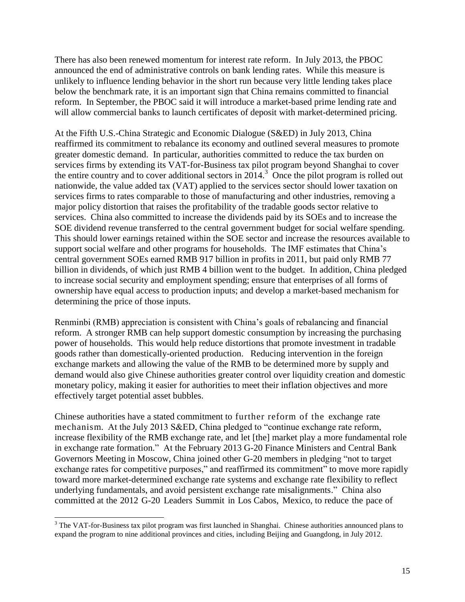There has also been renewed momentum for interest rate reform. In July 2013, the PBOC announced the end of administrative controls on bank lending rates. While this measure is unlikely to influence lending behavior in the short run because very little lending takes place below the benchmark rate, it is an important sign that China remains committed to financial reform. In September, the PBOC said it will introduce a market-based prime lending rate and will allow commercial banks to launch certificates of deposit with market-determined pricing.

At the Fifth U.S.-China Strategic and Economic Dialogue (S&ED) in July 2013, China reaffirmed its commitment to rebalance its economy and outlined several measures to promote greater domestic demand. In particular, authorities committed to reduce the tax burden on services firms by extending its VAT-for-Business tax pilot program beyond Shanghai to cover the entire country and to cover additional sectors in  $2014$ <sup>3</sup>. Once the pilot program is rolled out nationwide, the value added tax (VAT) applied to the services sector should lower taxation on services firms to rates comparable to those of manufacturing and other industries, removing a major policy distortion that raises the profitability of the tradable goods sector relative to services. China also committed to increase the dividends paid by its SOEs and to increase the SOE dividend revenue transferred to the central government budget for social welfare spending. This should lower earnings retained within the SOE sector and increase the resources available to support social welfare and other programs for households. The IMF estimates that China's central government SOEs earned RMB 917 billion in profits in 2011, but paid only RMB 77 billion in dividends, of which just RMB 4 billion went to the budget. In addition, China pledged to increase social security and employment spending; ensure that enterprises of all forms of ownership have equal access to production inputs; and develop a market-based mechanism for determining the price of those inputs.

Renminbi (RMB) appreciation is consistent with China's goals of rebalancing and financial reform. A stronger RMB can help support domestic consumption by increasing the purchasing power of households. This would help reduce distortions that promote investment in tradable goods rather than domestically-oriented production. Reducing intervention in the foreign exchange markets and allowing the value of the RMB to be determined more by supply and demand would also give Chinese authorities greater control over liquidity creation and domestic monetary policy, making it easier for authorities to meet their inflation objectives and more effectively target potential asset bubbles.

Chinese authorities have a stated commitment to further reform of the exchange rate mechanism. At the July 2013 S&ED, China pledged to "continue exchange rate reform, increase flexibility of the RMB exchange rate, and let [the] market play a more fundamental role in exchange rate formation." At the February 2013 G-20 Finance Ministers and Central Bank Governors Meeting in Moscow, China joined other G-20 members in pledging "not to target exchange rates for competitive purposes," and reaffirmed its commitment" to move more rapidly toward more market-determined exchange rate systems and exchange rate flexibility to reflect underlying fundamentals, and avoid persistent exchange rate misalignments." China also committed at the 2012 G-20 Leaders Summit in Los Cabos, Mexico, to reduce the pace of

l

 $3$  The VAT-for-Business tax pilot program was first launched in Shanghai. Chinese authorities announced plans to expand the program to nine additional provinces and cities, including Beijing and Guangdong, in July 2012.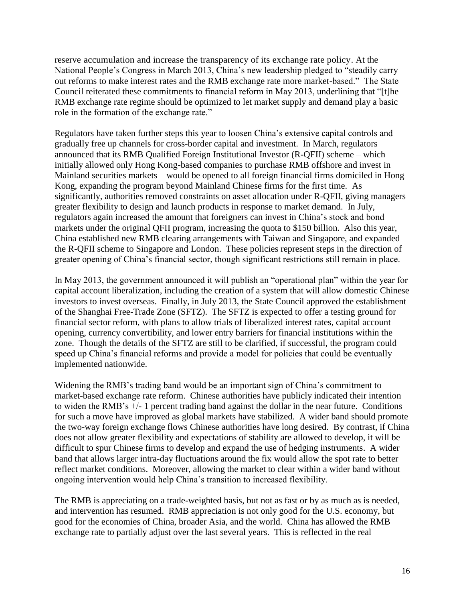reserve accumulation and increase the transparency of its exchange rate policy. At the National People's Congress in March 2013, China's new leadership pledged to "steadily carry out reforms to make interest rates and the RMB exchange rate more market-based." The State Council reiterated these commitments to financial reform in May 2013, underlining that "[t]he RMB exchange rate regime should be optimized to let market supply and demand play a basic role in the formation of the exchange rate."

Regulators have taken further steps this year to loosen China's extensive capital controls and gradually free up channels for cross-border capital and investment. In March, regulators announced that its RMB Qualified Foreign Institutional Investor (R-QFII) scheme – which initially allowed only Hong Kong-based companies to purchase RMB offshore and invest in Mainland securities markets – would be opened to all foreign financial firms domiciled in Hong Kong, expanding the program beyond Mainland Chinese firms for the first time. As significantly, authorities removed constraints on asset allocation under R-QFII, giving managers greater flexibility to design and launch products in response to market demand. In July, regulators again increased the amount that foreigners can invest in China's stock and bond markets under the original QFII program, increasing the quota to \$150 billion. Also this year, China established new RMB clearing arrangements with Taiwan and Singapore, and expanded the R-QFII scheme to Singapore and London. These policies represent steps in the direction of greater opening of China's financial sector, though significant restrictions still remain in place.

In May 2013, the government announced it will publish an "operational plan" within the year for capital account liberalization, including the creation of a system that will allow domestic Chinese investors to invest overseas. Finally, in July 2013, the State Council approved the establishment of the Shanghai Free-Trade Zone (SFTZ). The SFTZ is expected to offer a testing ground for financial sector reform, with plans to allow trials of liberalized interest rates, capital account opening, currency convertibility, and lower entry barriers for financial institutions within the zone. Though the details of the SFTZ are still to be clarified, if successful, the program could speed up China's financial reforms and provide a model for policies that could be eventually implemented nationwide.

Widening the RMB's trading band would be an important sign of China's commitment to market-based exchange rate reform. Chinese authorities have publicly indicated their intention to widen the RMB's +/- 1 percent trading band against the dollar in the near future. Conditions for such a move have improved as global markets have stabilized. A wider band should promote the two-way foreign exchange flows Chinese authorities have long desired. By contrast, if China does not allow greater flexibility and expectations of stability are allowed to develop, it will be difficult to spur Chinese firms to develop and expand the use of hedging instruments. A wider band that allows larger intra-day fluctuations around the fix would allow the spot rate to better reflect market conditions. Moreover, allowing the market to clear within a wider band without ongoing intervention would help China's transition to increased flexibility.

The RMB is appreciating on a trade-weighted basis, but not as fast or by as much as is needed, and intervention has resumed. RMB appreciation is not only good for the U.S. economy, but good for the economies of China, broader Asia, and the world. China has allowed the RMB exchange rate to partially adjust over the last several years. This is reflected in the real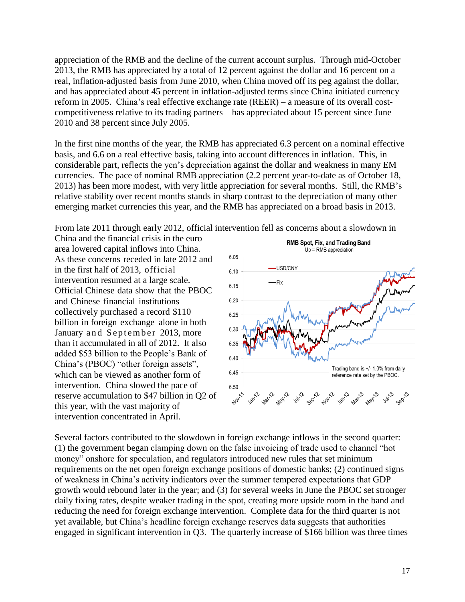appreciation of the RMB and the decline of the current account surplus. Through mid-October 2013, the RMB has appreciated by a total of 12 percent against the dollar and 16 percent on a real, inflation-adjusted basis from June 2010, when China moved off its peg against the dollar, and has appreciated about 45 percent in inflation-adjusted terms since China initiated currency reform in 2005. China's real effective exchange rate (REER) – a measure of its overall costcompetitiveness relative to its trading partners – has appreciated about 15 percent since June 2010 and 38 percent since July 2005.

In the first nine months of the year, the RMB has appreciated 6.3 percent on a nominal effective basis, and 6.6 on a real effective basis, taking into account differences in inflation. This, in considerable part, reflects the yen's depreciation against the dollar and weakness in many EM currencies. The pace of nominal RMB appreciation (2.2 percent year-to-date as of October 18, 2013) has been more modest, with very little appreciation for several months. Still, the RMB's relative stability over recent months stands in sharp contrast to the depreciation of many other emerging market currencies this year, and the RMB has appreciated on a broad basis in 2013.

From late 2011 through early 2012, official intervention fell as concerns about a slowdown in

China and the financial crisis in the euro area lowered capital inflows into China. As these concerns receded in late 2012 and in the first half of 2013, official intervention resumed at a large scale. Official Chinese data show that the PBOC and Chinese financial institutions collectively purchased a record \$110 billion in foreign exchange alone in both January and September 2013, more than it accumulated in all of 2012. It also added \$53 billion to the People's Bank of China's (PBOC) "other foreign assets", which can be viewed as another form of intervention. China slowed the pace of reserve accumulation to \$47 billion in Q2 of this year, with the vast majority of intervention concentrated in April.



Several factors contributed to the slowdown in foreign exchange inflows in the second quarter:  $(1)$  the government began clamping down on the false invoicing of trade used to channel "hot money" onshore for speculation, and regulators introduced new rules that set minimum requirements on the net open foreign exchange positions of domestic banks; (2) continued signs of weakness in China's activity indicators over the summer tempered expectations that GDP growth would rebound later in the year; and (3) for several weeks in June the PBOC set stronger daily fixing rates, despite weaker trading in the spot, creating more upside room in the band and reducing the need for foreign exchange intervention. Complete data for the third quarter is not yet available, but China's headline foreign exchange reserves data suggests that authorities engaged in significant intervention in Q3. The quarterly increase of \$166 billion was three times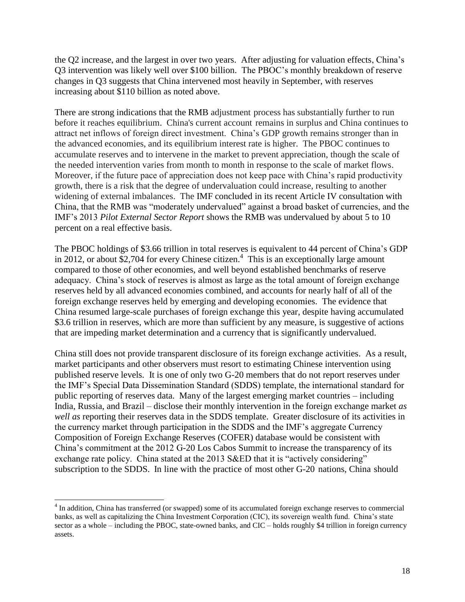the Q2 increase, and the largest in over two years. After adjusting for valuation effects, China's Q3 intervention was likely well over \$100 billion. The PBOC's monthly breakdown of reserve changes in Q3 suggests that China intervened most heavily in September, with reserves increasing about \$110 billion as noted above.

There are strong indications that the RMB adjustment process has substantially further to run before it reaches equilibrium. China's current account remains in surplus and China continues to attract net inflows of foreign direct investment. China's GDP growth remains stronger than in the advanced economies, and its equilibrium interest rate is higher. The PBOC continues to accumulate reserves and to intervene in the market to prevent appreciation, though the scale of the needed intervention varies from month to month in response to the scale of market flows. Moreover, if the future pace of appreciation does not keep pace with China's rapid productivity growth, there is a risk that the degree of undervaluation could increase, resulting to another widening of external imbalances. The IMF concluded in its recent Article IV consultation with China, that the RMB was "moderately undervalued" against a broad basket of currencies, and the IMF's 2013 *Pilot External Sector Report* shows the RMB was undervalued by about 5 to 10 percent on a real effective basis.

The PBOC holdings of \$3.66 trillion in total reserves is equivalent to 44 percent of China's GDP in 2012, or about \$2,704 for every Chinese citizen.<sup>4</sup> This is an exceptionally large amount compared to those of other economies, and well beyond established benchmarks of reserve adequacy. China's stock of reserves is almost as large as the total amount of foreign exchange reserves held by all advanced economies combined, and accounts for nearly half of all of the foreign exchange reserves held by emerging and developing economies. The evidence that China resumed large-scale purchases of foreign exchange this year, despite having accumulated \$3.6 trillion in reserves, which are more than sufficient by any measure, is suggestive of actions that are impeding market determination and a currency that is significantly undervalued.

China still does not provide transparent disclosure of its foreign exchange activities. As a result, market participants and other observers must resort to estimating Chinese intervention using published reserve levels. It is one of only two G-20 members that do not report reserves under the IMF's Special Data Dissemination Standard (SDDS) template, the international standard for public reporting of reserves data. Many of the largest emerging market countries – including India, Russia, and Brazil – disclose their monthly intervention in the foreign exchange market *as well as* reporting their reserves data in the SDDS template. Greater disclosure of its activities in the currency market through participation in the SDDS and the IMF's aggregate Currency Composition of Foreign Exchange Reserves (COFER) database would be consistent with China's commitment at the 2012 G-20 Los Cabos Summit to increase the transparency of its exchange rate policy. China stated at the 2013 S&ED that it is "actively considering" subscription to the SDDS. In line with the practice of most other G-20 nations, China should

 $\overline{a}$ 

<sup>&</sup>lt;sup>4</sup> In addition, China has transferred (or swapped) some of its accumulated foreign exchange reserves to commercial banks, as well as capitalizing the China Investment Corporation (CIC), its sovereign wealth fund. China's state sector as a whole – including the PBOC, state-owned banks, and CIC – holds roughly \$4 trillion in foreign currency assets.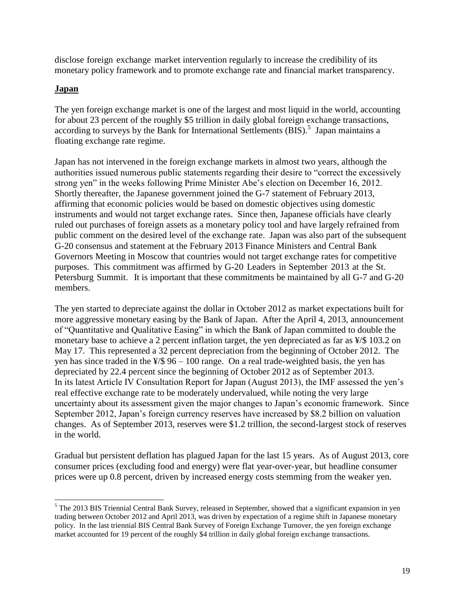disclose foreign exchange market intervention regularly to increase the credibility of its monetary policy framework and to promote exchange rate and financial market transparency.

#### <span id="page-19-0"></span>**Japan**

 $\overline{a}$ 

The yen foreign exchange market is one of the largest and most liquid in the world, accounting for about 23 percent of the roughly \$5 trillion in daily global foreign exchange transactions, according to surveys by the Bank for International Settlements  $(BIS)$ .<sup>5</sup> Japan maintains a floating exchange rate regime.

Japan has not intervened in the foreign exchange markets in almost two years, although the authorities issued numerous public statements regarding their desire to "correct the excessively strong yen" in the weeks following Prime Minister Abe's election on December 16, 2012. Shortly thereafter, the Japanese government joined the G-7 statement of February 2013, affirming that economic policies would be based on domestic objectives using domestic instruments and would not target exchange rates. Since then, Japanese officials have clearly ruled out purchases of foreign assets as a monetary policy tool and have largely refrained from public comment on the desired level of the exchange rate. Japan was also part of the subsequent G-20 consensus and statement at the February 2013 Finance Ministers and Central Bank Governors Meeting in Moscow that countries would not target exchange rates for competitive purposes. This commitment was affirmed by G-20 Leaders in September 2013 at the St. Petersburg Summit. It is important that these commitments be maintained by all G-7 and G-20 members.

The yen started to depreciate against the dollar in October 2012 as market expectations built for more aggressive monetary easing by the Bank of Japan. After the April 4, 2013, announcement of "Quantitative and Qualitative Easing" in which the Bank of Japan committed to double the monetary base to achieve a 2 percent inflation target, the yen depreciated as far as  $\frac{1}{5}$  103.2 on May 17. This represented a 32 percent depreciation from the beginning of October 2012. The yen has since traded in the  $\frac{1}{5}$  96 – 100 range. On a real trade-weighted basis, the yen has depreciated by 22.4 percent since the beginning of October 2012 as of September 2013. In its latest Article IV Consultation Report for Japan (August 2013), the IMF assessed the yen's real effective exchange rate to be moderately undervalued, while noting the very large uncertainty about its assessment given the major changes to Japan's economic framework. Since September 2012, Japan's foreign currency reserves have increased by \$8.2 billion on valuation changes. As of September 2013, reserves were \$1.2 trillion, the second-largest stock of reserves in the world.

Gradual but persistent deflation has plagued Japan for the last 15 years. As of August 2013, core consumer prices (excluding food and energy) were flat year-over-year, but headline consumer prices were up 0.8 percent, driven by increased energy costs stemming from the weaker yen.

 $<sup>5</sup>$  The 2013 BIS Triennial Central Bank Survey, released in September, showed that a significant expansion in yen</sup> trading between October 2012 and April 2013, was driven by expectation of a regime shift in Japanese monetary policy. In the last triennial BIS Central Bank Survey of Foreign Exchange Turnover, the yen foreign exchange market accounted for 19 percent of the roughly \$4 trillion in daily global foreign exchange transactions.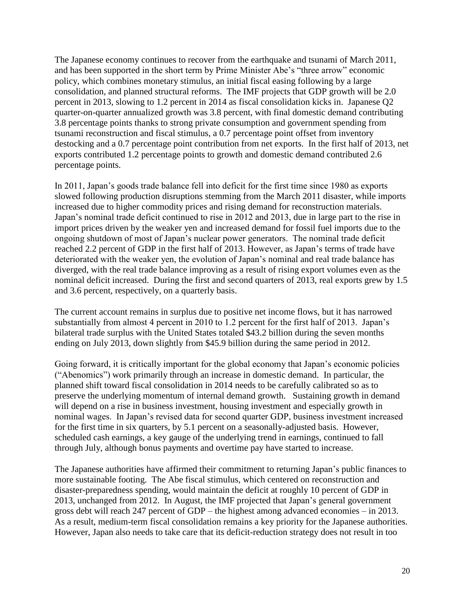The Japanese economy continues to recover from the earthquake and tsunami of March 2011, and has been supported in the short term by Prime Minister Abe's "three arrow" economic policy, which combines monetary stimulus, an initial fiscal easing following by a large consolidation, and planned structural reforms. The IMF projects that GDP growth will be 2.0 percent in 2013, slowing to 1.2 percent in 2014 as fiscal consolidation kicks in. Japanese Q2 quarter-on-quarter annualized growth was 3.8 percent, with final domestic demand contributing 3.8 percentage points thanks to strong private consumption and government spending from tsunami reconstruction and fiscal stimulus, a 0.7 percentage point offset from inventory destocking and a 0.7 percentage point contribution from net exports. In the first half of 2013, net exports contributed 1.2 percentage points to growth and domestic demand contributed 2.6 percentage points.

In 2011, Japan's goods trade balance fell into deficit for the first time since 1980 as exports slowed following production disruptions stemming from the March 2011 disaster, while imports increased due to higher commodity prices and rising demand for reconstruction materials. Japan's nominal trade deficit continued to rise in 2012 and 2013, due in large part to the rise in import prices driven by the weaker yen and increased demand for fossil fuel imports due to the ongoing shutdown of most of Japan's nuclear power generators. The nominal trade deficit reached 2.2 percent of GDP in the first half of 2013. However, as Japan's terms of trade have deteriorated with the weaker yen, the evolution of Japan's nominal and real trade balance has diverged, with the real trade balance improving as a result of rising export volumes even as the nominal deficit increased. During the first and second quarters of 2013, real exports grew by 1.5 and 3.6 percent, respectively, on a quarterly basis.

The current account remains in surplus due to positive net income flows, but it has narrowed substantially from almost 4 percent in 2010 to 1.2 percent for the first half of 2013. Japan's bilateral trade surplus with the United States totaled \$43.2 billion during the seven months ending on July 2013, down slightly from \$45.9 billion during the same period in 2012.

Going forward, it is critically important for the global economy that Japan's economic policies (―Abenomics‖) work primarily through an increase in domestic demand. In particular, the planned shift toward fiscal consolidation in 2014 needs to be carefully calibrated so as to preserve the underlying momentum of internal demand growth. Sustaining growth in demand will depend on a rise in business investment, housing investment and especially growth in nominal wages. In Japan's revised data for second quarter GDP, business investment increased for the first time in six quarters, by 5.1 percent on a seasonally-adjusted basis. However, scheduled cash earnings, a key gauge of the underlying trend in earnings, continued to fall through July, although bonus payments and overtime pay have started to increase.

The Japanese authorities have affirmed their commitment to returning Japan's public finances to more sustainable footing. The Abe fiscal stimulus, which centered on reconstruction and disaster-preparedness spending, would maintain the deficit at roughly 10 percent of GDP in 2013, unchanged from 2012. In August, the IMF projected that Japan's general government gross debt will reach 247 percent of GDP – the highest among advanced economies – in 2013. As a result, medium-term fiscal consolidation remains a key priority for the Japanese authorities. However, Japan also needs to take care that its deficit-reduction strategy does not result in too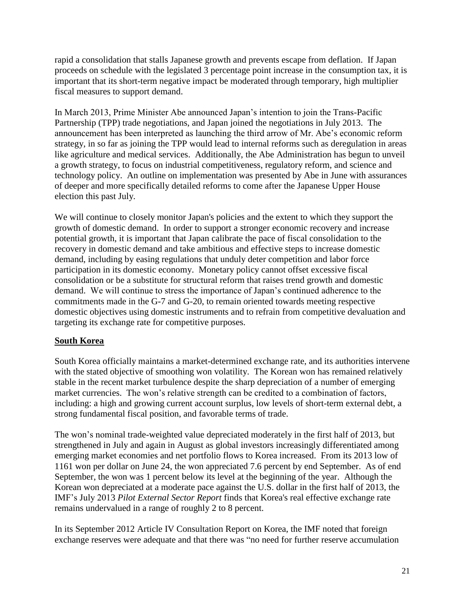rapid a consolidation that stalls Japanese growth and prevents escape from deflation. If Japan proceeds on schedule with the legislated 3 percentage point increase in the consumption tax, it is important that its short-term negative impact be moderated through temporary, high multiplier fiscal measures to support demand.

In March 2013, Prime Minister Abe announced Japan's intention to join the Trans-Pacific Partnership (TPP) trade negotiations, and Japan joined the negotiations in July 2013. The announcement has been interpreted as launching the third arrow of Mr. Abe's economic reform strategy, in so far as joining the TPP would lead to internal reforms such as deregulation in areas like agriculture and medical services. Additionally, the Abe Administration has begun to unveil a growth strategy, to focus on industrial competitiveness, regulatory reform, and science and technology policy. An outline on implementation was presented by Abe in June with assurances of deeper and more specifically detailed reforms to come after the Japanese Upper House election this past July.

We will continue to closely monitor Japan's policies and the extent to which they support the growth of domestic demand. In order to support a stronger economic recovery and increase potential growth, it is important that Japan calibrate the pace of fiscal consolidation to the recovery in domestic demand and take ambitious and effective steps to increase domestic demand, including by easing regulations that unduly deter competition and labor force participation in its domestic economy. Monetary policy cannot offset excessive fiscal consolidation or be a substitute for structural reform that raises trend growth and domestic demand. We will continue to stress the importance of Japan's continued adherence to the commitments made in the G-7 and G-20, to remain oriented towards meeting respective domestic objectives using domestic instruments and to refrain from competitive devaluation and targeting its exchange rate for competitive purposes.

#### <span id="page-21-0"></span>**South Korea**

South Korea officially maintains a market-determined exchange rate, and its authorities intervene with the stated objective of smoothing won volatility. The Korean won has remained relatively stable in the recent market turbulence despite the sharp depreciation of a number of emerging market currencies. The won's relative strength can be credited to a combination of factors, including: a high and growing current account surplus, low levels of short-term external debt, a strong fundamental fiscal position, and favorable terms of trade.

The won's nominal trade-weighted value depreciated moderately in the first half of 2013, but strengthened in July and again in August as global investors increasingly differentiated among emerging market economies and net portfolio flows to Korea increased. From its 2013 low of 1161 won per dollar on June 24, the won appreciated 7.6 percent by end September. As of end September, the won was 1 percent below its level at the beginning of the year. Although the Korean won depreciated at a moderate pace against the U.S. dollar in the first half of 2013, the IMF's July 2013 *Pilot External Sector Report* finds that Korea's real effective exchange rate remains undervalued in a range of roughly 2 to 8 percent.

In its September 2012 Article IV Consultation Report on Korea, the IMF noted that foreign exchange reserves were adequate and that there was "no need for further reserve accumulation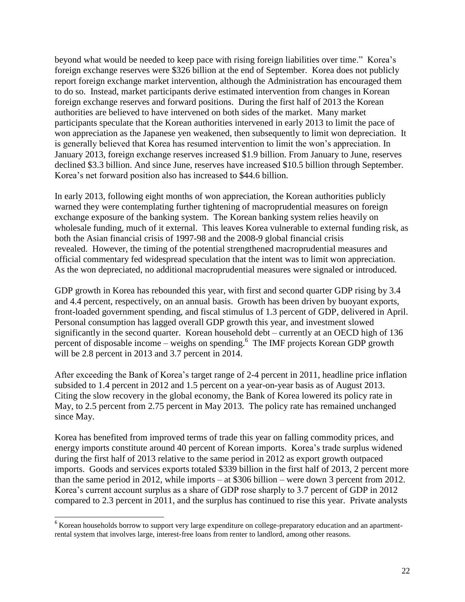beyond what would be needed to keep pace with rising foreign liabilities over time." Korea's foreign exchange reserves were \$326 billion at the end of September. Korea does not publicly report foreign exchange market intervention, although the Administration has encouraged them to do so. Instead, market participants derive estimated intervention from changes in Korean foreign exchange reserves and forward positions. During the first half of 2013 the Korean authorities are believed to have intervened on both sides of the market. Many market participants speculate that the Korean authorities intervened in early 2013 to limit the pace of won appreciation as the Japanese yen weakened, then subsequently to limit won depreciation. It is generally believed that Korea has resumed intervention to limit the won's appreciation. In January 2013, foreign exchange reserves increased \$1.9 billion. From January to June, reserves declined \$3.3 billion. And since June, reserves have increased \$10.5 billion through September. Korea's net forward position also has increased to \$44.6 billion.

In early 2013, following eight months of won appreciation, the Korean authorities publicly warned they were contemplating further tightening of macroprudential measures on foreign exchange exposure of the banking system. The Korean banking system relies heavily on wholesale funding, much of it external. This leaves Korea vulnerable to external funding risk, as both the Asian financial crisis of 1997-98 and the 2008-9 global financial crisis revealed. However, the timing of the potential strengthened macroprudential measures and official commentary fed widespread speculation that the intent was to limit won appreciation. As the won depreciated, no additional macroprudential measures were signaled or introduced.

GDP growth in Korea has rebounded this year, with first and second quarter GDP rising by 3.4 and 4.4 percent, respectively, on an annual basis. Growth has been driven by buoyant exports, front-loaded government spending, and fiscal stimulus of 1.3 percent of GDP, delivered in April. Personal consumption has lagged overall GDP growth this year, and investment slowed significantly in the second quarter. Korean household debt – currently at an OECD high of 136 percent of disposable income – weighs on spending.<sup>6</sup> The IMF projects Korean GDP growth will be 2.8 percent in 2013 and 3.7 percent in 2014.

After exceeding the Bank of Korea's target range of 2-4 percent in 2011, headline price inflation subsided to 1.4 percent in 2012 and 1.5 percent on a year-on-year basis as of August 2013. Citing the slow recovery in the global economy, the Bank of Korea lowered its policy rate in May, to 2.5 percent from 2.75 percent in May 2013. The policy rate has remained unchanged since May.

Korea has benefited from improved terms of trade this year on falling commodity prices, and energy imports constitute around 40 percent of Korean imports. Korea's trade surplus widened during the first half of 2013 relative to the same period in 2012 as export growth outpaced imports. Goods and services exports totaled \$339 billion in the first half of 2013, 2 percent more than the same period in 2012, while imports – at \$306 billion – were down 3 percent from 2012. Korea's current account surplus as a share of GDP rose sharply to 3.7 percent of GDP in 2012 compared to 2.3 percent in 2011, and the surplus has continued to rise this year. Private analysts

l

<sup>&</sup>lt;sup>6</sup> Korean households borrow to support very large expenditure on college-preparatory education and an apartmentrental system that involves large, interest-free loans from renter to landlord, among other reasons.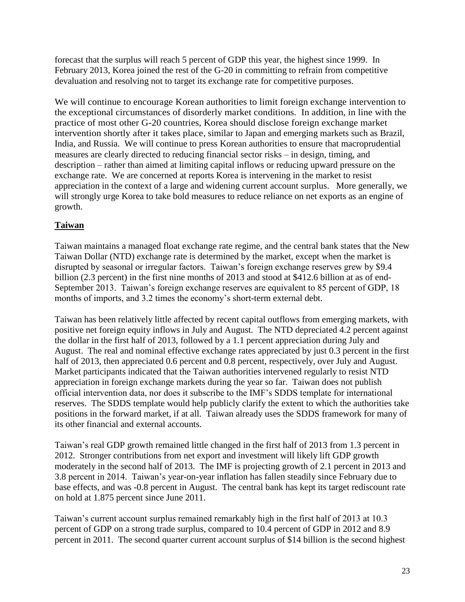forecast that the surplus will reach 5 percent of GDP this year, the highest since 1999. In February 2013, Korea joined the rest of the G-20 in committing to refrain from competitive devaluation and resolving not to target its exchange rate for competitive purposes.

We will continue to encourage Korean authorities to limit foreign exchange intervention to the exceptional circumstances of disorderly market conditions. In addition, in line with the practice of most other G-20 countries, Korea should disclose foreign exchange market intervention shortly after it takes place, similar to Japan and emerging markets such as Brazil, India, and Russia. We will continue to press Korean authorities to ensure that macroprudential measures are clearly directed to reducing financial sector risks – in design, timing, and description – rather than aimed at limiting capital inflows or reducing upward pressure on the exchange rate. We are concerned at reports Korea is intervening in the market to resist appreciation in the context of a large and widening current account surplus. More generally, we will strongly urge Korea to take bold measures to reduce reliance on net exports as an engine of growth.

# <span id="page-23-0"></span>**Taiwan**

Taiwan maintains a managed float exchange rate regime, and the central bank states that the New Taiwan Dollar (NTD) exchange rate is determined by the market, except when the market is disrupted by seasonal or irregular factors. Taiwan's foreign exchange reserves grew by \$9.4 billion (2.3 percent) in the first nine months of 2013 and stood at \$412.6 billion at as of end-September 2013. Taiwan's foreign exchange reserves are equivalent to 85 percent of GDP, 18 months of imports, and 3.2 times the economy's short-term external debt.

Taiwan has been relatively little affected by recent capital outflows from emerging markets, with positive net foreign equity inflows in July and August. The NTD depreciated 4.2 percent against the dollar in the first half of 2013, followed by a 1.1 percent appreciation during July and August. The real and nominal effective exchange rates appreciated by just 0.3 percent in the first half of 2013, then appreciated 0.6 percent and 0.8 percent, respectively, over July and August. Market participants indicated that the Taiwan authorities intervened regularly to resist NTD appreciation in foreign exchange markets during the year so far. Taiwan does not publish official intervention data, nor does it subscribe to the IMF's SDDS template for international reserves. The SDDS template would help publicly clarify the extent to which the authorities take positions in the forward market, if at all. Taiwan already uses the SDDS framework for many of its other financial and external accounts.

Taiwan's real GDP growth remained little changed in the first half of 2013 from 1.3 percent in 2012. Stronger contributions from net export and investment will likely lift GDP growth moderately in the second half of 2013. The IMF is projecting growth of 2.1 percent in 2013 and 3.8 percent in 2014. Taiwan's year-on-year inflation has fallen steadily since February due to base effects, and was -0.8 percent in August. The central bank has kept its target rediscount rate on hold at 1.875 percent since June 2011.

Taiwan's current account surplus remained remarkably high in the first half of 2013 at 10.3 percent of GDP on a strong trade surplus, compared to 10.4 percent of GDP in 2012 and 8.9 percent in 2011. The second quarter current account surplus of \$14 billion is the second highest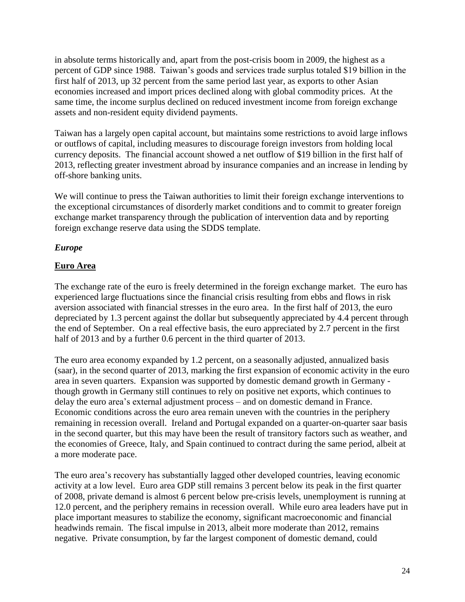in absolute terms historically and, apart from the post-crisis boom in 2009, the highest as a percent of GDP since 1988. Taiwan's goods and services trade surplus totaled \$19 billion in the first half of 2013, up 32 percent from the same period last year, as exports to other Asian economies increased and import prices declined along with global commodity prices. At the same time, the income surplus declined on reduced investment income from foreign exchange assets and non-resident equity dividend payments.

Taiwan has a largely open capital account, but maintains some restrictions to avoid large inflows or outflows of capital, including measures to discourage foreign investors from holding local currency deposits. The financial account showed a net outflow of \$19 billion in the first half of 2013, reflecting greater investment abroad by insurance companies and an increase in lending by off-shore banking units.

We will continue to press the Taiwan authorities to limit their foreign exchange interventions to the exceptional circumstances of disorderly market conditions and to commit to greater foreign exchange market transparency through the publication of intervention data and by reporting foreign exchange reserve data using the SDDS template.

#### <span id="page-24-0"></span>*Europe*

#### <span id="page-24-1"></span>**Euro Area**

The exchange rate of the euro is freely determined in the foreign exchange market. The euro has experienced large fluctuations since the financial crisis resulting from ebbs and flows in risk aversion associated with financial stresses in the euro area. In the first half of 2013, the euro depreciated by 1.3 percent against the dollar but subsequently appreciated by 4.4 percent through the end of September. On a real effective basis, the euro appreciated by 2.7 percent in the first half of 2013 and by a further 0.6 percent in the third quarter of 2013.

The euro area economy expanded by 1.2 percent, on a seasonally adjusted, annualized basis (saar), in the second quarter of 2013, marking the first expansion of economic activity in the euro area in seven quarters. Expansion was supported by domestic demand growth in Germany though growth in Germany still continues to rely on positive net exports, which continues to delay the euro area's external adjustment process – and on domestic demand in France. Economic conditions across the euro area remain uneven with the countries in the periphery remaining in recession overall. Ireland and Portugal expanded on a quarter-on-quarter saar basis in the second quarter, but this may have been the result of transitory factors such as weather, and the economies of Greece, Italy, and Spain continued to contract during the same period, albeit at a more moderate pace.

The euro area's recovery has substantially lagged other developed countries, leaving economic activity at a low level. Euro area GDP still remains 3 percent below its peak in the first quarter of 2008, private demand is almost 6 percent below pre-crisis levels, unemployment is running at 12.0 percent, and the periphery remains in recession overall. While euro area leaders have put in place important measures to stabilize the economy, significant macroeconomic and financial headwinds remain. The fiscal impulse in 2013, albeit more moderate than 2012, remains negative. Private consumption, by far the largest component of domestic demand, could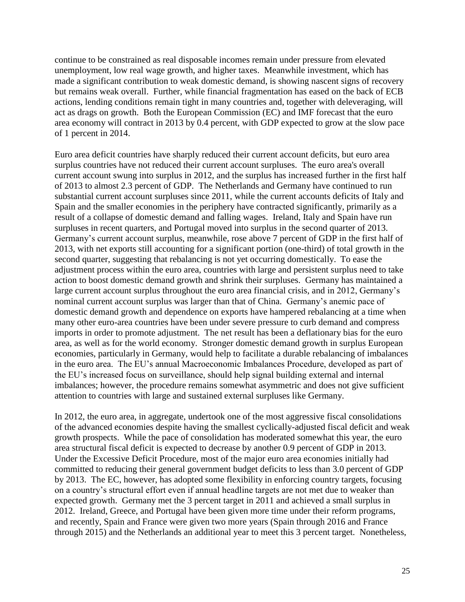continue to be constrained as real disposable incomes remain under pressure from elevated unemployment, low real wage growth, and higher taxes. Meanwhile investment, which has made a significant contribution to weak domestic demand, is showing nascent signs of recovery but remains weak overall. Further, while financial fragmentation has eased on the back of ECB actions, lending conditions remain tight in many countries and, together with deleveraging, will act as drags on growth. Both the European Commission (EC) and IMF forecast that the euro area economy will contract in 2013 by 0.4 percent, with GDP expected to grow at the slow pace of 1 percent in 2014.

Euro area deficit countries have sharply reduced their current account deficits, but euro area surplus countries have not reduced their current account surpluses. The euro area's overall current account swung into surplus in 2012, and the surplus has increased further in the first half of 2013 to almost 2.3 percent of GDP. The Netherlands and Germany have continued to run substantial current account surpluses since 2011, while the current accounts deficits of Italy and Spain and the smaller economies in the periphery have contracted significantly, primarily as a result of a collapse of domestic demand and falling wages. Ireland, Italy and Spain have run surpluses in recent quarters, and Portugal moved into surplus in the second quarter of 2013. Germany's current account surplus, meanwhile, rose above 7 percent of GDP in the first half of 2013, with net exports still accounting for a significant portion (one-third) of total growth in the second quarter, suggesting that rebalancing is not yet occurring domestically. To ease the adjustment process within the euro area, countries with large and persistent surplus need to take action to boost domestic demand growth and shrink their surpluses. Germany has maintained a large current account surplus throughout the euro area financial crisis, and in 2012, Germany's nominal current account surplus was larger than that of China. Germany's anemic pace of domestic demand growth and dependence on exports have hampered rebalancing at a time when many other euro-area countries have been under severe pressure to curb demand and compress imports in order to promote adjustment. The net result has been a deflationary bias for the euro area, as well as for the world economy. Stronger domestic demand growth in surplus European economies, particularly in Germany, would help to facilitate a durable rebalancing of imbalances in the euro area. The EU's annual Macroeconomic Imbalances Procedure, developed as part of the EU's increased focus on surveillance, should help signal building external and internal imbalances; however, the procedure remains somewhat asymmetric and does not give sufficient attention to countries with large and sustained external surpluses like Germany.

In 2012, the euro area, in aggregate, undertook one of the most aggressive fiscal consolidations of the advanced economies despite having the smallest cyclically-adjusted fiscal deficit and weak growth prospects. While the pace of consolidation has moderated somewhat this year, the euro area structural fiscal deficit is expected to decrease by another 0.9 percent of GDP in 2013. Under the Excessive Deficit Procedure, most of the major euro area economies initially had committed to reducing their general government budget deficits to less than 3.0 percent of GDP by 2013. The EC, however, has adopted some flexibility in enforcing country targets, focusing on a country's structural effort even if annual headline targets are not met due to weaker than expected growth. Germany met the 3 percent target in 2011 and achieved a small surplus in 2012. Ireland, Greece, and Portugal have been given more time under their reform programs, and recently, Spain and France were given two more years (Spain through 2016 and France through 2015) and the Netherlands an additional year to meet this 3 percent target. Nonetheless,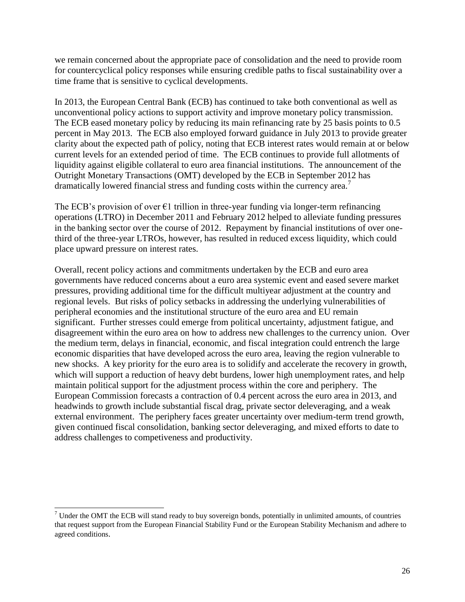we remain concerned about the appropriate pace of consolidation and the need to provide room for countercyclical policy responses while ensuring credible paths to fiscal sustainability over a time frame that is sensitive to cyclical developments.

In 2013, the European Central Bank (ECB) has continued to take both conventional as well as unconventional policy actions to support activity and improve monetary policy transmission. The ECB eased monetary policy by reducing its main refinancing rate by 25 basis points to 0.5 percent in May 2013. The ECB also employed forward guidance in July 2013 to provide greater clarity about the expected path of policy, noting that ECB interest rates would remain at or below current levels for an extended period of time. The ECB continues to provide full allotments of liquidity against eligible collateral to euro area financial institutions. The announcement of the Outright Monetary Transactions (OMT) developed by the ECB in September 2012 has dramatically lowered financial stress and funding costs within the currency area.<sup>7</sup>

The ECB's provision of over  $\epsilon_1$  trillion in three-year funding via longer-term refinancing operations (LTRO) in December 2011 and February 2012 helped to alleviate funding pressures in the banking sector over the course of 2012. Repayment by financial institutions of over onethird of the three-year LTROs, however, has resulted in reduced excess liquidity, which could place upward pressure on interest rates.

Overall, recent policy actions and commitments undertaken by the ECB and euro area governments have reduced concerns about a euro area systemic event and eased severe market pressures, providing additional time for the difficult multiyear adjustment at the country and regional levels. But risks of policy setbacks in addressing the underlying vulnerabilities of peripheral economies and the institutional structure of the euro area and EU remain significant. Further stresses could emerge from political uncertainty, adjustment fatigue, and disagreement within the euro area on how to address new challenges to the currency union. Over the medium term, delays in financial, economic, and fiscal integration could entrench the large economic disparities that have developed across the euro area, leaving the region vulnerable to new shocks. A key priority for the euro area is to solidify and accelerate the recovery in growth, which will support a reduction of heavy debt burdens, lower high unemployment rates, and help maintain political support for the adjustment process within the core and periphery. The European Commission forecasts a contraction of 0.4 percent across the euro area in 2013, and headwinds to growth include substantial fiscal drag, private sector deleveraging, and a weak external environment. The periphery faces greater uncertainty over medium-term trend growth, given continued fiscal consolidation, banking sector deleveraging, and mixed efforts to date to address challenges to competiveness and productivity.

l

 $7$  Under the OMT the ECB will stand ready to buy sovereign bonds, potentially in unlimited amounts, of countries that request support from the European Financial Stability Fund or the European Stability Mechanism and adhere to agreed conditions.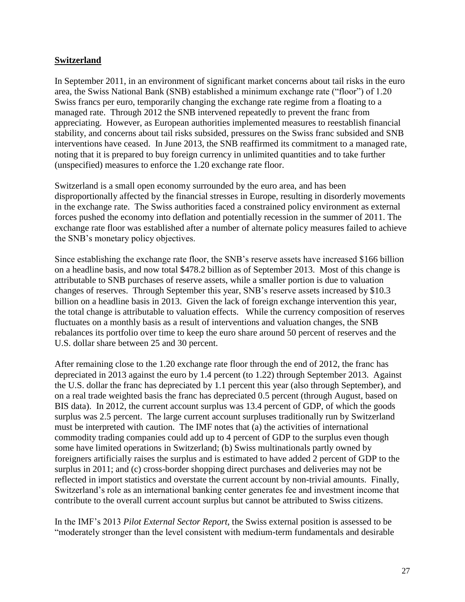#### **Switzerland**

In September 2011, in an environment of significant market concerns about tail risks in the euro area, the Swiss National Bank (SNB) established a minimum exchange rate ("floor") of 1.20 Swiss francs per euro, temporarily changing the exchange rate regime from a floating to a managed rate. Through 2012 the SNB intervened repeatedly to prevent the franc from appreciating. However, as European authorities implemented measures to reestablish financial stability, and concerns about tail risks subsided, pressures on the Swiss franc subsided and SNB interventions have ceased. In June 2013, the SNB reaffirmed its commitment to a managed rate, noting that it is prepared to buy foreign currency in unlimited quantities and to take further (unspecified) measures to enforce the 1.20 exchange rate floor.

Switzerland is a small open economy surrounded by the euro area, and has been disproportionally affected by the financial stresses in Europe, resulting in disorderly movements in the exchange rate. The Swiss authorities faced a constrained policy environment as external forces pushed the economy into deflation and potentially recession in the summer of 2011. The exchange rate floor was established after a number of alternate policy measures failed to achieve the SNB's monetary policy objectives.

Since establishing the exchange rate floor, the SNB's reserve assets have increased \$166 billion on a headline basis, and now total \$478.2 billion as of September 2013. Most of this change is attributable to SNB purchases of reserve assets, while a smaller portion is due to valuation changes of reserves. Through September this year, SNB's reserve assets increased by \$10.3 billion on a headline basis in 2013. Given the lack of foreign exchange intervention this year, the total change is attributable to valuation effects. While the currency composition of reserves fluctuates on a monthly basis as a result of interventions and valuation changes, the SNB rebalances its portfolio over time to keep the euro share around 50 percent of reserves and the U.S. dollar share between 25 and 30 percent.

After remaining close to the 1.20 exchange rate floor through the end of 2012, the franc has depreciated in 2013 against the euro by 1.4 percent (to 1.22) through September 2013. Against the U.S. dollar the franc has depreciated by 1.1 percent this year (also through September), and on a real trade weighted basis the franc has depreciated 0.5 percent (through August, based on BIS data). In 2012, the current account surplus was 13.4 percent of GDP, of which the goods surplus was 2.5 percent. The large current account surpluses traditionally run by Switzerland must be interpreted with caution. The IMF notes that (a) the activities of international commodity trading companies could add up to 4 percent of GDP to the surplus even though some have limited operations in Switzerland; (b) Swiss multinationals partly owned by foreigners artificially raises the surplus and is estimated to have added 2 percent of GDP to the surplus in 2011; and (c) cross-border shopping direct purchases and deliveries may not be reflected in import statistics and overstate the current account by non-trivial amounts. Finally, Switzerland's role as an international banking center generates fee and investment income that contribute to the overall current account surplus but cannot be attributed to Swiss citizens.

In the IMF's 2013 *Pilot External Sector Report*, the Swiss external position is assessed to be ―moderately stronger than the level consistent with medium-term fundamentals and desirable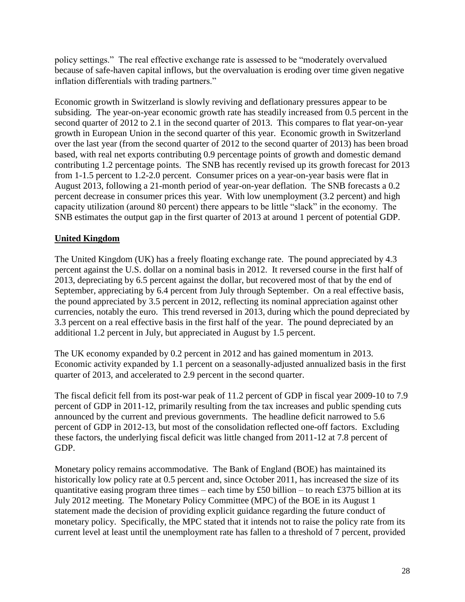policy settings." The real effective exchange rate is assessed to be "moderately overvalued because of safe-haven capital inflows, but the overvaluation is eroding over time given negative inflation differentials with trading partners."

Economic growth in Switzerland is slowly reviving and deflationary pressures appear to be subsiding. The year-on-year economic growth rate has steadily increased from 0.5 percent in the second quarter of 2012 to 2.1 in the second quarter of 2013. This compares to flat year-on-year growth in European Union in the second quarter of this year. Economic growth in Switzerland over the last year (from the second quarter of 2012 to the second quarter of 2013) has been broad based, with real net exports contributing 0.9 percentage points of growth and domestic demand contributing 1.2 percentage points. The SNB has recently revised up its growth forecast for 2013 from 1-1.5 percent to 1.2-2.0 percent. Consumer prices on a year-on-year basis were flat in August 2013, following a 21-month period of year-on-year deflation. The SNB forecasts a 0.2 percent decrease in consumer prices this year. With low unemployment (3.2 percent) and high capacity utilization (around 80 percent) there appears to be little "slack" in the economy. The SNB estimates the output gap in the first quarter of 2013 at around 1 percent of potential GDP.

### <span id="page-28-0"></span>**United Kingdom**

The United Kingdom (UK) has a freely floating exchange rate. The pound appreciated by 4.3 percent against the U.S. dollar on a nominal basis in 2012. It reversed course in the first half of 2013, depreciating by 6.5 percent against the dollar, but recovered most of that by the end of September, appreciating by 6.4 percent from July through September. On a real effective basis, the pound appreciated by 3.5 percent in 2012, reflecting its nominal appreciation against other currencies, notably the euro. This trend reversed in 2013, during which the pound depreciated by 3.3 percent on a real effective basis in the first half of the year. The pound depreciated by an additional 1.2 percent in July, but appreciated in August by 1.5 percent.

The UK economy expanded by 0.2 percent in 2012 and has gained momentum in 2013. Economic activity expanded by 1.1 percent on a seasonally-adjusted annualized basis in the first quarter of 2013, and accelerated to 2.9 percent in the second quarter.

The fiscal deficit fell from its post-war peak of 11.2 percent of GDP in fiscal year 2009-10 to 7.9 percent of GDP in 2011-12, primarily resulting from the tax increases and public spending cuts announced by the current and previous governments. The headline deficit narrowed to 5.6 percent of GDP in 2012-13, but most of the consolidation reflected one-off factors. Excluding these factors, the underlying fiscal deficit was little changed from 2011-12 at 7.8 percent of GDP.

Monetary policy remains accommodative. The Bank of England (BOE) has maintained its historically low policy rate at 0.5 percent and, since October 2011, has increased the size of its quantitative easing program three times – each time by £50 billion – to reach £375 billion at its July 2012 meeting. The Monetary Policy Committee (MPC) of the BOE in its August 1 statement made the decision of providing explicit guidance regarding the future conduct of monetary policy. Specifically, the MPC stated that it intends not to raise the policy rate from its current level at least until the unemployment rate has fallen to a threshold of 7 percent, provided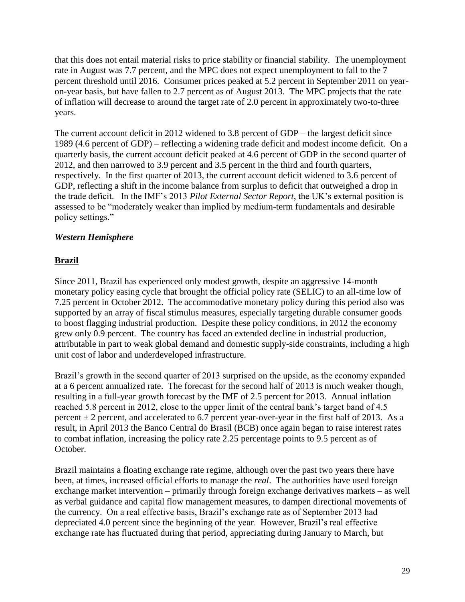that this does not entail material risks to price stability or financial stability. The unemployment rate in August was 7.7 percent, and the MPC does not expect unemployment to fall to the 7 percent threshold until 2016. Consumer prices peaked at 5.2 percent in September 2011 on yearon-year basis, but have fallen to 2.7 percent as of August 2013. The MPC projects that the rate of inflation will decrease to around the target rate of 2.0 percent in approximately two-to-three years.

The current account deficit in 2012 widened to 3.8 percent of GDP – the largest deficit since 1989 (4.6 percent of GDP) – reflecting a widening trade deficit and modest income deficit. On a quarterly basis, the current account deficit peaked at 4.6 percent of GDP in the second quarter of 2012, and then narrowed to 3.9 percent and 3.5 percent in the third and fourth quarters, respectively. In the first quarter of 2013, the current account deficit widened to 3.6 percent of GDP, reflecting a shift in the income balance from surplus to deficit that outweighed a drop in the trade deficit. In the IMF's 2013 *Pilot External Sector Report*, the UK's external position is assessed to be "moderately weaker than implied by medium-term fundamentals and desirable policy settings."

#### <span id="page-29-0"></span>*Western Hemisphere*

#### <span id="page-29-1"></span>**Brazil**

Since 2011, Brazil has experienced only modest growth, despite an aggressive 14-month monetary policy easing cycle that brought the official policy rate (SELIC) to an all-time low of 7.25 percent in October 2012. The accommodative monetary policy during this period also was supported by an array of fiscal stimulus measures, especially targeting durable consumer goods to boost flagging industrial production. Despite these policy conditions, in 2012 the economy grew only 0.9 percent. The country has faced an extended decline in industrial production, attributable in part to weak global demand and domestic supply-side constraints, including a high unit cost of labor and underdeveloped infrastructure.

Brazil's growth in the second quarter of 2013 surprised on the upside, as the economy expanded at a 6 percent annualized rate. The forecast for the second half of 2013 is much weaker though, resulting in a full-year growth forecast by the IMF of 2.5 percent for 2013. Annual inflation reached 5.8 percent in 2012, close to the upper limit of the central bank's target band of 4.5 percent  $\pm 2$  percent, and accelerated to 6.7 percent year-over-year in the first half of 2013. As a result, in April 2013 the Banco Central do Brasil (BCB) once again began to raise interest rates to combat inflation, increasing the policy rate 2.25 percentage points to 9.5 percent as of October.

Brazil maintains a floating exchange rate regime, although over the past two years there have been, at times, increased official efforts to manage the *real*. The authorities have used foreign exchange market intervention – primarily through foreign exchange derivatives markets – as well as verbal guidance and capital flow management measures, to dampen directional movements of the currency.On a real effective basis, Brazil's exchange rate as of September 2013 had depreciated 4.0 percent since the beginning of the year. However, Brazil's real effective exchange rate has fluctuated during that period, appreciating during January to March, but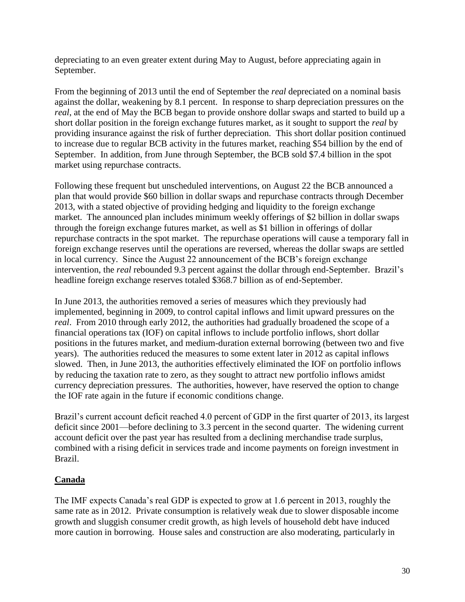depreciating to an even greater extent during May to August, before appreciating again in September.

From the beginning of 2013 until the end of September the *real* depreciated on a nominal basis against the dollar, weakening by 8.1 percent. In response to sharp depreciation pressures on the *real*, at the end of May the BCB began to provide onshore dollar swaps and started to build up a short dollar position in the foreign exchange futures market, as it sought to support the *real* by providing insurance against the risk of further depreciation*.* This short dollar position continued to increase due to regular BCB activity in the futures market, reaching \$54 billion by the end of September. In addition, from June through September, the BCB sold \$7.4 billion in the spot market using repurchase contracts.

Following these frequent but unscheduled interventions, on August 22 the BCB announced a plan that would provide \$60 billion in dollar swaps and repurchase contracts through December 2013, with a stated objective of providing hedging and liquidity to the foreign exchange market. The announced plan includes minimum weekly offerings of \$2 billion in dollar swaps through the foreign exchange futures market, as well as \$1 billion in offerings of dollar repurchase contracts in the spot market. The repurchase operations will cause a temporary fall in foreign exchange reserves until the operations are reversed, whereas the dollar swaps are settled in local currency. Since the August 22 announcement of the BCB's foreign exchange intervention, the *real* rebounded 9.3 percent against the dollar through end-September. Brazil's headline foreign exchange reserves totaled \$368.7 billion as of end-September.

In June 2013, the authorities removed a series of measures which they previously had implemented, beginning in 2009, to control capital inflows and limit upward pressures on the *real*. From 2010 through early 2012, the authorities had gradually broadened the scope of a financial operations tax (IOF) on capital inflows to include portfolio inflows, short dollar positions in the futures market, and medium-duration external borrowing (between two and five years). The authorities reduced the measures to some extent later in 2012 as capital inflows slowed. Then, in June 2013, the authorities effectively eliminated the IOF on portfolio inflows by reducing the taxation rate to zero, as they sought to attract new portfolio inflows amidst currency depreciation pressures. The authorities, however, have reserved the option to change the IOF rate again in the future if economic conditions change.

Brazil's current account deficit reached 4.0 percent of GDP in the first quarter of 2013, its largest deficit since 2001—before declining to 3.3 percent in the second quarter. The widening current account deficit over the past year has resulted from a declining merchandise trade surplus, combined with a rising deficit in services trade and income payments on foreign investment in Brazil.

#### <span id="page-30-0"></span>**Canada**

The IMF expects Canada's real GDP is expected to grow at 1.6 percent in 2013, roughly the same rate as in 2012. Private consumption is relatively weak due to slower disposable income growth and sluggish consumer credit growth, as high levels of household debt have induced more caution in borrowing. House sales and construction are also moderating, particularly in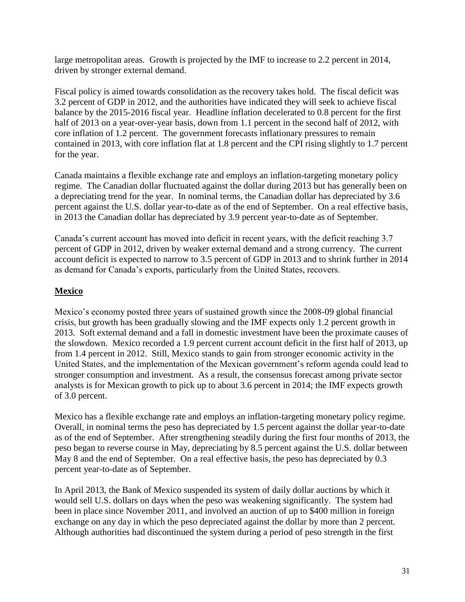large metropolitan areas. Growth is projected by the IMF to increase to 2.2 percent in 2014, driven by stronger external demand.

Fiscal policy is aimed towards consolidation as the recovery takes hold. The fiscal deficit was 3.2 percent of GDP in 2012, and the authorities have indicated they will seek to achieve fiscal balance by the 2015-2016 fiscal year. Headline inflation decelerated to 0.8 percent for the first half of 2013 on a year-over-year basis, down from 1.1 percent in the second half of 2012, with core inflation of 1.2 percent. The government forecasts inflationary pressures to remain contained in 2013, with core inflation flat at 1.8 percent and the CPI rising slightly to 1.7 percent for the year.

Canada maintains a flexible exchange rate and employs an inflation-targeting monetary policy regime. The Canadian dollar fluctuated against the dollar during 2013 but has generally been on a depreciating trend for the year. In nominal terms, the Canadian dollar has depreciated by 3.6 percent against the U.S. dollar year-to-date as of the end of September. On a real effective basis, in 2013 the Canadian dollar has depreciated by 3.9 percent year-to-date as of September.

Canada's current account has moved into deficit in recent years, with the deficit reaching 3.7 percent of GDP in 2012, driven by weaker external demand and a strong currency. The current account deficit is expected to narrow to 3.5 percent of GDP in 2013 and to shrink further in 2014 as demand for Canada's exports, particularly from the United States, recovers.

#### <span id="page-31-0"></span>**Mexico**

Mexico's economy posted three years of sustained growth since the 2008-09 global financial crisis, but growth has been gradually slowing and the IMF expects only 1.2 percent growth in 2013. Soft external demand and a fall in domestic investment have been the proximate causes of the slowdown. Mexico recorded a 1.9 percent current account deficit in the first half of 2013, up from 1.4 percent in 2012. Still, Mexico stands to gain from stronger economic activity in the United States, and the implementation of the Mexican government's reform agenda could lead to stronger consumption and investment. As a result, the consensus forecast among private sector analysts is for Mexican growth to pick up to about 3.6 percent in 2014; the IMF expects growth of 3.0 percent.

Mexico has a flexible exchange rate and employs an inflation-targeting monetary policy regime. Overall, in nominal terms the peso has depreciated by 1.5 percent against the dollar year-to-date as of the end of September. After strengthening steadily during the first four months of 2013, the peso began to reverse course in May, depreciating by 8.5 percent against the U.S. dollar between May 8 and the end of September. On a real effective basis, the peso has depreciated by 0.3 percent year-to-date as of September.

In April 2013, the Bank of Mexico suspended its system of daily dollar auctions by which it would sell U.S. dollars on days when the peso was weakening significantly. The system had been in place since November 2011, and involved an auction of up to \$400 million in foreign exchange on any day in which the peso depreciated against the dollar by more than 2 percent. Although authorities had discontinued the system during a period of peso strength in the first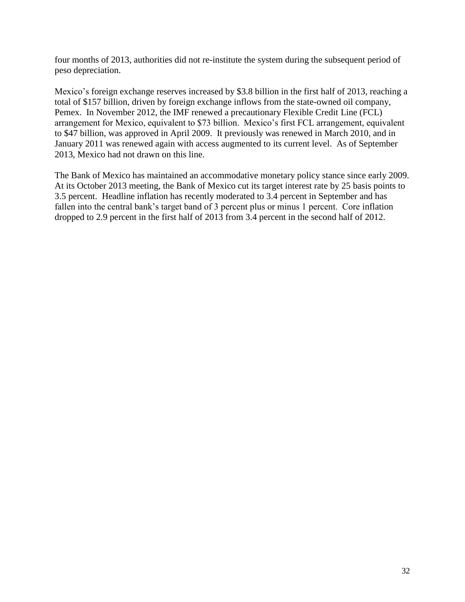four months of 2013, authorities did not re-institute the system during the subsequent period of peso depreciation.

Mexico's foreign exchange reserves increased by \$3.8 billion in the first half of 2013, reaching a total of \$157 billion, driven by foreign exchange inflows from the state-owned oil company, Pemex. In November 2012, the IMF renewed a precautionary Flexible Credit Line (FCL) arrangement for Mexico, equivalent to \$73 billion. Mexico's first FCL arrangement, equivalent to \$47 billion, was approved in April 2009. It previously was renewed in March 2010, and in January 2011 was renewed again with access augmented to its current level. As of September 2013, Mexico had not drawn on this line.

The Bank of Mexico has maintained an accommodative monetary policy stance since early 2009. At its October 2013 meeting, the Bank of Mexico cut its target interest rate by 25 basis points to 3.5 percent. Headline inflation has recently moderated to 3.4 percent in September and has fallen into the central bank's target band of 3 percent plus or minus 1 percent. Core inflation dropped to 2.9 percent in the first half of 2013 from 3.4 percent in the second half of 2012.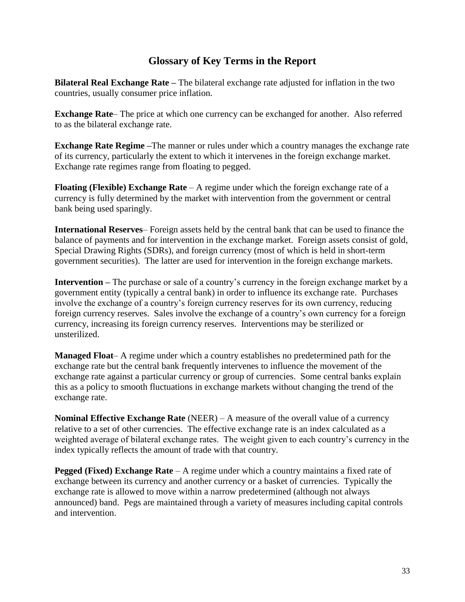# **Glossary of Key Terms in the Report**

<span id="page-33-0"></span>**Bilateral Real Exchange Rate –** The bilateral exchange rate adjusted for inflation in the two countries, usually consumer price inflation.

**Exchange Rate**– The price at which one currency can be exchanged for another. Also referred to as the bilateral exchange rate.

**Exchange Rate Regime –**The manner or rules under which a country manages the exchange rate of its currency, particularly the extent to which it intervenes in the foreign exchange market. Exchange rate regimes range from floating to pegged.

**Floating (Flexible) Exchange Rate** – A regime under which the foreign exchange rate of a currency is fully determined by the market with intervention from the government or central bank being used sparingly.

**International Reserves**– Foreign assets held by the central bank that can be used to finance the balance of payments and for intervention in the exchange market. Foreign assets consist of gold, Special Drawing Rights (SDRs), and foreign currency (most of which is held in short-term government securities). The latter are used for intervention in the foreign exchange markets.

**Intervention –** The purchase or sale of a country's currency in the foreign exchange market by a government entity (typically a central bank) in order to influence its exchange rate. Purchases involve the exchange of a country's foreign currency reserves for its own currency, reducing foreign currency reserves. Sales involve the exchange of a country's own currency for a foreign currency, increasing its foreign currency reserves. Interventions may be sterilized or unsterilized.

**Managed Float**– A regime under which a country establishes no predetermined path for the exchange rate but the central bank frequently intervenes to influence the movement of the exchange rate against a particular currency or group of currencies. Some central banks explain this as a policy to smooth fluctuations in exchange markets without changing the trend of the exchange rate.

**Nominal Effective Exchange Rate** (NEER) – A measure of the overall value of a currency relative to a set of other currencies. The effective exchange rate is an index calculated as a weighted average of bilateral exchange rates. The weight given to each country's currency in the index typically reflects the amount of trade with that country.

**Pegged (Fixed) Exchange Rate** – A regime under which a country maintains a fixed rate of exchange between its currency and another currency or a basket of currencies. Typically the exchange rate is allowed to move within a narrow predetermined (although not always announced) band. Pegs are maintained through a variety of measures including capital controls and intervention.